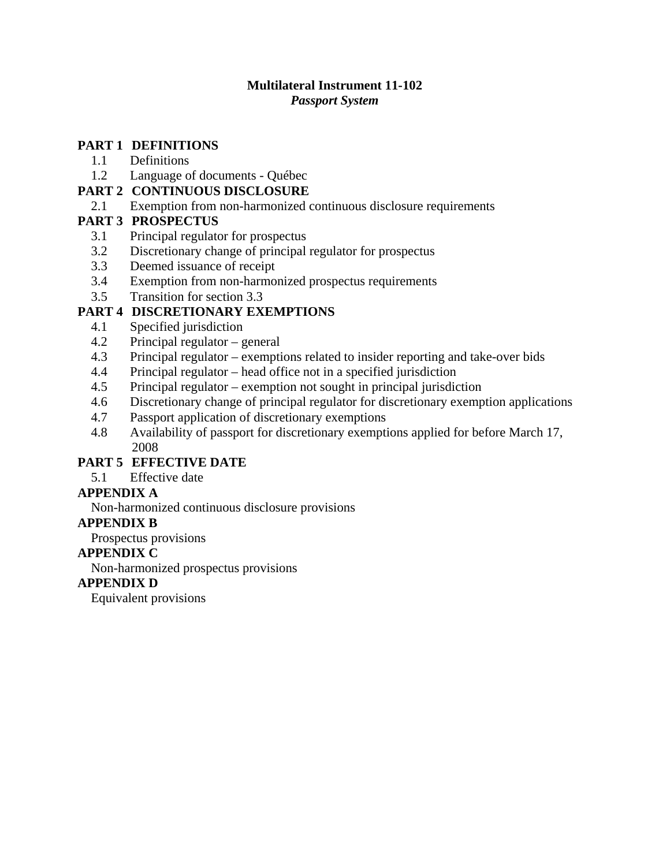## **Multilateral Instrument 11-102**

*Passport System*

## **PART 1 [DEFINITIONS](#page-1-0)**

- [1.1 Definitions](#page-1-0)
- [1.2 Language of documents Québec](#page-1-0)

## **PART 2 [CONTINUOUS DISCLOSURE](#page-2-0)**

[2.1 Exemption from non-harmonized continuous disclosure requirements](#page-2-0)

## **PART 3 [PROSPECTUS](#page-2-0)**

- [3.1 Principal regulator for prospectus](#page-2-0)
- [3.2 Discretionary change of principal regulator for prospectus](#page-2-0)
- [3.3 Deemed issuance of receipt](#page-2-0)
- [3.4 Exemption from non-harmonized prospectus requirements](#page-3-0)
- [3.5 Transition for section 3.3](#page-4-0)

## **PART 4 [DISCRETIONARY EXEMPTIONS](#page-4-0)**

- [4.1 Specified jurisdiction](#page-4-0)
- [4.2 Principal regulator general](#page-4-0)
- [4.3 Principal regulator exemptions related to insider reporting and take-over bids](#page-4-0)
- [4.4 Principal regulator head office not in a specified jurisdiction](#page-5-0)
- [4.5 Principal regulator exemption not sought in principal jurisdiction](#page-5-0)
- [4.6 Discretionary change of principal regulator for discretionary exemption applications](#page-6-0)
- [4.7 Passport application of discretionary exemptions](#page-6-0)
- [4.8 Availability of passport for discretionary exemptions applied for before March 17,](#page-6-0)  [2008](#page-6-0)

# **PART 5 [EFFECTIVE DATE](#page-7-0)**

[5.1 Effective date](#page-7-0)

## **[APPENDIX A](#page-8-0)**

[Non-harmonized continuous disclosure provisions](#page-8-0)

## **[APPENDIX B](#page-9-0)**

[Prospectus provisions](#page-9-0)

## **[APPENDIX C](#page-10-0)**

[Non-harmonized prospectus provisions](#page-10-0)

## **[APPENDIX D](#page-11-0)**

[Equivalent provisions](#page-11-0)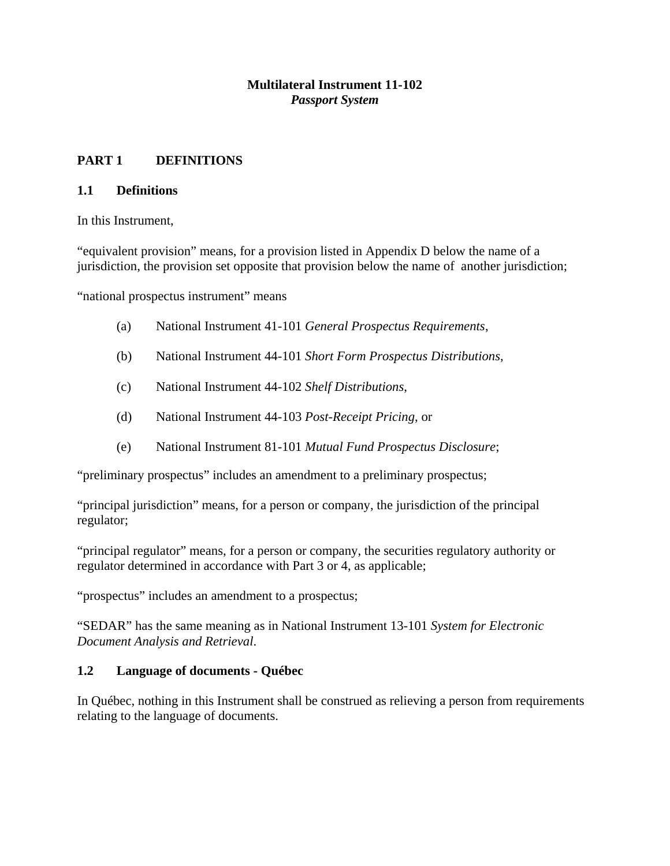## **Multilateral Instrument 11-102** *Passport System*

## <span id="page-1-0"></span>**PART 1 DEFINITIONS**

#### **1.1 Definitions**

In this Instrument,

"equivalent provision" means, for a provision listed in Appendix D below the name of a jurisdiction, the provision set opposite that provision below the name of another jurisdiction;

"national prospectus instrument" means

- (a) National Instrument 41-101 *General Prospectus Requirements*,
- (b) National Instrument 44-101 *Short Form Prospectus Distributions*,
- (c) National Instrument 44-102 *Shelf Distributions*,
- (d) National Instrument 44-103 *Post-Receipt Pricing*, or
- (e) National Instrument 81-101 *Mutual Fund Prospectus Disclosure*;

"preliminary prospectus" includes an amendment to a preliminary prospectus;

"principal jurisdiction" means, for a person or company, the jurisdiction of the principal regulator;

"principal regulator" means, for a person or company, the securities regulatory authority or regulator determined in accordance with Part 3 or 4, as applicable;

"prospectus" includes an amendment to a prospectus;

"SEDAR" has the same meaning as in National Instrument 13-101 *System for Electronic Document Analysis and Retrieval*.

## **1.2 Language of documents - Québec**

In Québec, nothing in this Instrument shall be construed as relieving a person from requirements relating to the language of documents.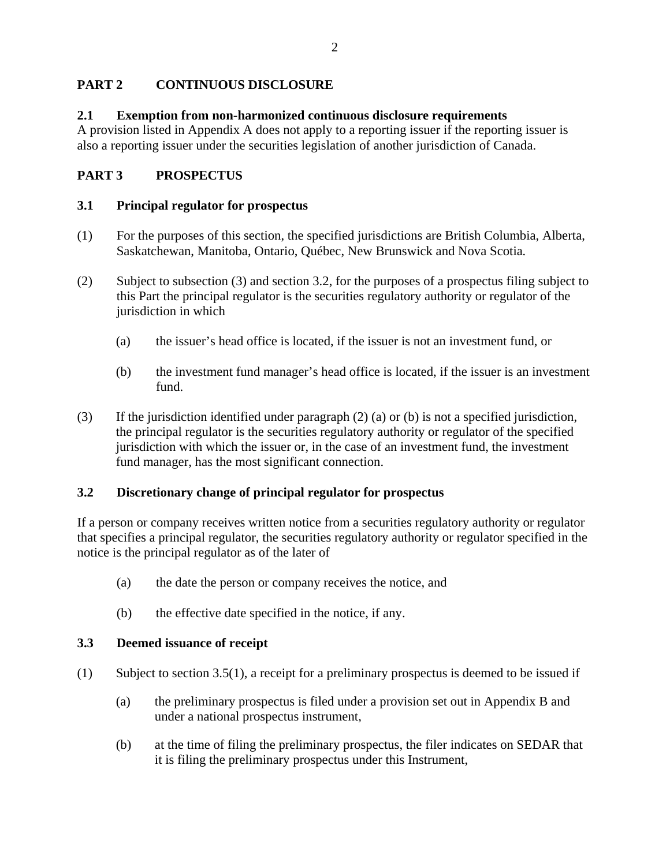## <span id="page-2-0"></span>**PART 2 CONTINUOUS DISCLOSURE**

### **2.1 Exemption from non-harmonized continuous disclosure requirements**

A provision listed in Appendix A does not apply to a reporting issuer if the reporting issuer is also a reporting issuer under the securities legislation of another jurisdiction of Canada.

## **PART 3 PROSPECTUS**

#### **3.1 Principal regulator for prospectus**

- (1) For the purposes of this section, the specified jurisdictions are British Columbia, Alberta, Saskatchewan, Manitoba, Ontario, Québec, New Brunswick and Nova Scotia*.*
- (2) Subject to subsection (3) and section 3.2, for the purposes of a prospectus filing subject to this Part the principal regulator is the securities regulatory authority or regulator of the jurisdiction in which
	- (a) the issuer's head office is located, if the issuer is not an investment fund, or
	- (b) the investment fund manager's head office is located, if the issuer is an investment fund.
- (3) If the jurisdiction identified under paragraph (2) (a) or (b) is not a specified jurisdiction, the principal regulator is the securities regulatory authority or regulator of the specified jurisdiction with which the issuer or, in the case of an investment fund, the investment fund manager, has the most significant connection.

## **3.2 Discretionary change of principal regulator for prospectus**

If a person or company receives written notice from a securities regulatory authority or regulator that specifies a principal regulator, the securities regulatory authority or regulator specified in the notice is the principal regulator as of the later of

- (a) the date the person or company receives the notice, and
- (b) the effective date specified in the notice, if any.

#### **3.3 Deemed issuance of receipt**

- (1) Subject to section 3.5(1), a receipt for a preliminary prospectus is deemed to be issued if
	- (a) the preliminary prospectus is filed under a provision set out in Appendix B and under a national prospectus instrument,
	- (b) at the time of filing the preliminary prospectus, the filer indicates on SEDAR that it is filing the preliminary prospectus under this Instrument,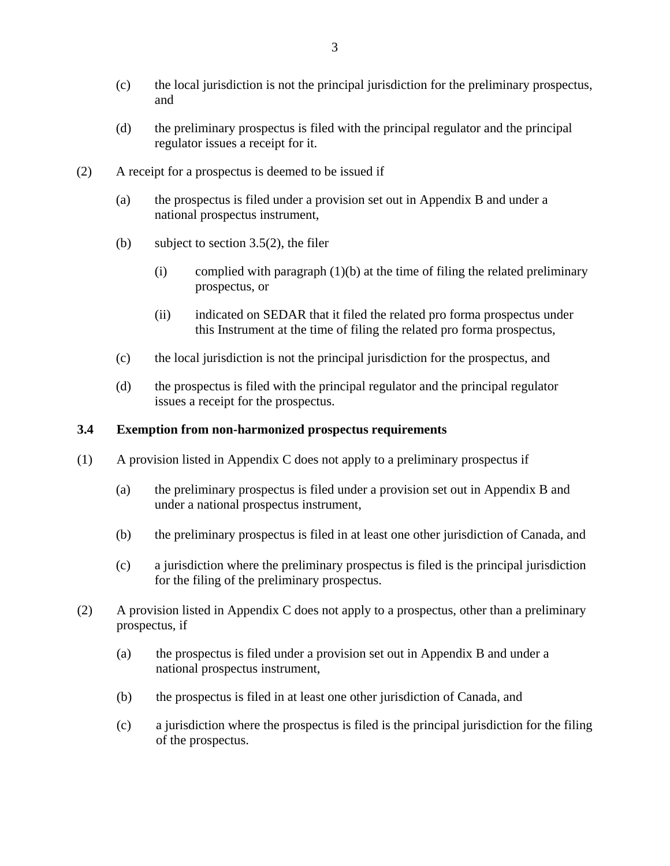- <span id="page-3-0"></span>(c) the local jurisdiction is not the principal jurisdiction for the preliminary prospectus, and
- (d) the preliminary prospectus is filed with the principal regulator and the principal regulator issues a receipt for it.
- (2) A receipt for a prospectus is deemed to be issued if
	- (a) the prospectus is filed under a provision set out in Appendix B and under a national prospectus instrument,
	- (b) subject to section  $3.5(2)$ , the filer
		- (i) complied with paragraph  $(1)(b)$  at the time of filing the related preliminary prospectus, or
		- (ii) indicated on SEDAR that it filed the related pro forma prospectus under this Instrument at the time of filing the related pro forma prospectus,
	- (c) the local jurisdiction is not the principal jurisdiction for the prospectus, and
	- (d) the prospectus is filed with the principal regulator and the principal regulator issues a receipt for the prospectus.

#### **3.4 Exemption from non-harmonized prospectus requirements**

- (1) A provision listed in Appendix C does not apply to a preliminary prospectus if
	- (a) the preliminary prospectus is filed under a provision set out in Appendix B and under a national prospectus instrument,
	- (b) the preliminary prospectus is filed in at least one other jurisdiction of Canada, and
	- (c) a jurisdiction where the preliminary prospectus is filed is the principal jurisdiction for the filing of the preliminary prospectus.
- (2) A provision listed in Appendix C does not apply to a prospectus, other than a preliminary prospectus, if
	- (a) the prospectus is filed under a provision set out in Appendix B and under a national prospectus instrument,
	- (b) the prospectus is filed in at least one other jurisdiction of Canada, and
	- (c) a jurisdiction where the prospectus is filed is the principal jurisdiction for the filing of the prospectus.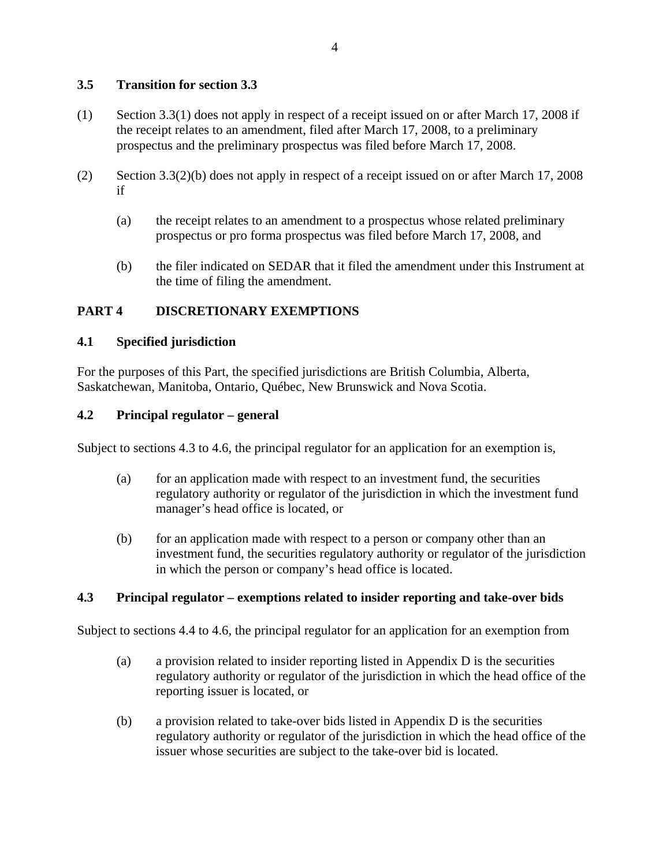## <span id="page-4-0"></span>**3.5 Transition for section 3.3**

- (1) Section 3.3(1) does not apply in respect of a receipt issued on or after March 17, 2008 if the receipt relates to an amendment, filed after March 17, 2008, to a preliminary prospectus and the preliminary prospectus was filed before March 17, 2008.
- (2) Section 3.3(2)(b) does not apply in respect of a receipt issued on or after March 17, 2008 if
	- (a) the receipt relates to an amendment to a prospectus whose related preliminary prospectus or pro forma prospectus was filed before March 17, 2008, and
	- (b) the filer indicated on SEDAR that it filed the amendment under this Instrument at the time of filing the amendment.

## **PART 4 DISCRETIONARY EXEMPTIONS**

#### **4.1 Specified jurisdiction**

For the purposes of this Part, the specified jurisdictions are British Columbia, Alberta, Saskatchewan, Manitoba, Ontario, Québec, New Brunswick and Nova Scotia.

#### **4.2 Principal regulator – general**

Subject to sections 4.3 to 4.6, the principal regulator for an application for an exemption is,

- (a) for an application made with respect to an investment fund, the securities regulatory authority or regulator of the jurisdiction in which the investment fund manager's head office is located, or
- (b) for an application made with respect to a person or company other than an investment fund, the securities regulatory authority or regulator of the jurisdiction in which the person or company's head office is located.

#### **4.3 Principal regulator – exemptions related to insider reporting and take-over bids**

Subject to sections 4.4 to 4.6, the principal regulator for an application for an exemption from

- (a) a provision related to insider reporting listed in Appendix D is the securities regulatory authority or regulator of the jurisdiction in which the head office of the reporting issuer is located, or
- (b) a provision related to take-over bids listed in Appendix D is the securities regulatory authority or regulator of the jurisdiction in which the head office of the issuer whose securities are subject to the take-over bid is located.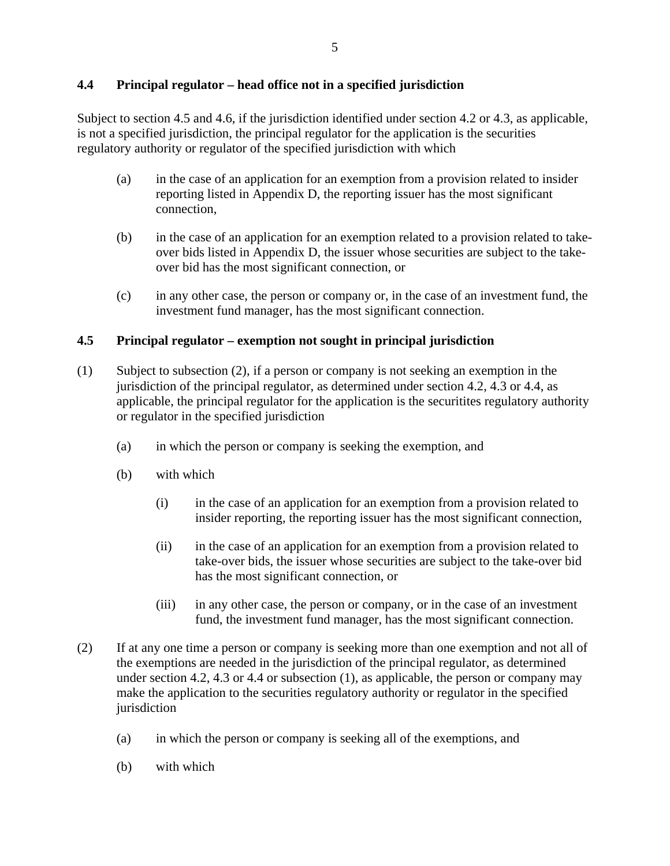## <span id="page-5-0"></span>**4.4 Principal regulator – head office not in a specified jurisdiction**

Subject to section 4.5 and 4.6, if the jurisdiction identified under section 4.2 or 4.3, as applicable, is not a specified jurisdiction, the principal regulator for the application is the securities regulatory authority or regulator of the specified jurisdiction with which

- (a) in the case of an application for an exemption from a provision related to insider reporting listed in Appendix D, the reporting issuer has the most significant connection,
- (b) in the case of an application for an exemption related to a provision related to takeover bids listed in Appendix D, the issuer whose securities are subject to the takeover bid has the most significant connection, or
- (c) in any other case, the person or company or, in the case of an investment fund, the investment fund manager, has the most significant connection.

## **4.5 Principal regulator – exemption not sought in principal jurisdiction**

- (1) Subject to subsection (2), if a person or company is not seeking an exemption in the jurisdiction of the principal regulator, as determined under section 4.2, 4.3 or 4.4, as applicable, the principal regulator for the application is the securitites regulatory authority or regulator in the specified jurisdiction
	- (a) in which the person or company is seeking the exemption, and
	- (b) with which
		- (i) in the case of an application for an exemption from a provision related to insider reporting, the reporting issuer has the most significant connection,
		- (ii) in the case of an application for an exemption from a provision related to take-over bids, the issuer whose securities are subject to the take-over bid has the most significant connection, or
		- (iii) in any other case, the person or company, or in the case of an investment fund, the investment fund manager, has the most significant connection.
- (2) If at any one time a person or company is seeking more than one exemption and not all of the exemptions are needed in the jurisdiction of the principal regulator, as determined under section 4.2, 4.3 or 4.4 or subsection (1), as applicable, the person or company may make the application to the securities regulatory authority or regulator in the specified jurisdiction
	- (a) in which the person or company is seeking all of the exemptions, and
	- (b) with which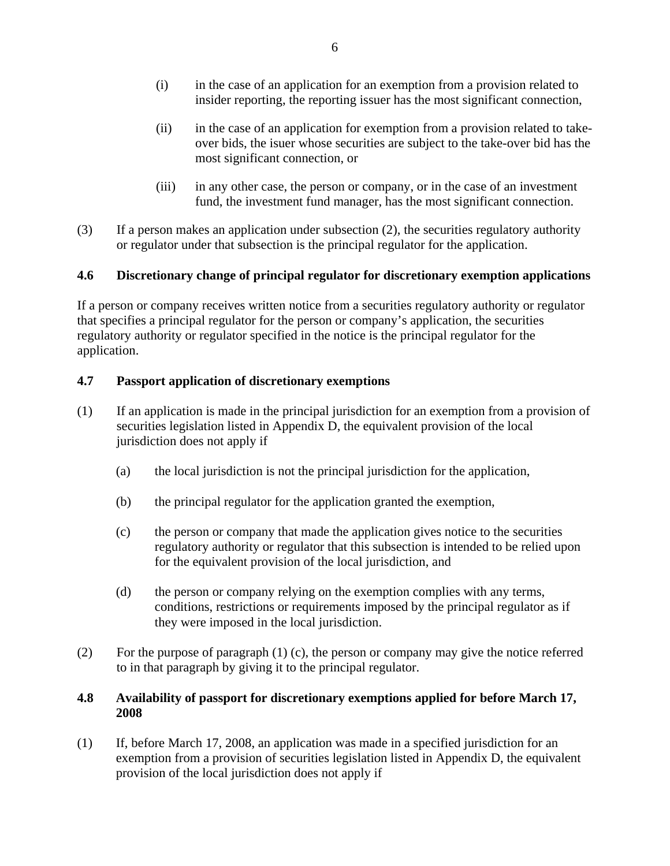- <span id="page-6-0"></span>(i) in the case of an application for an exemption from a provision related to insider reporting, the reporting issuer has the most significant connection,
- (ii) in the case of an application for exemption from a provision related to takeover bids, the isuer whose securities are subject to the take-over bid has the most significant connection, or
- (iii) in any other case, the person or company, or in the case of an investment fund, the investment fund manager, has the most significant connection.
- (3) If a person makes an application under subsection (2), the securities regulatory authority or regulator under that subsection is the principal regulator for the application.

## **4.6 Discretionary change of principal regulator for discretionary exemption applications**

If a person or company receives written notice from a securities regulatory authority or regulator that specifies a principal regulator for the person or company's application, the securities regulatory authority or regulator specified in the notice is the principal regulator for the application.

### **4.7 Passport application of discretionary exemptions**

- (1) If an application is made in the principal jurisdiction for an exemption from a provision of securities legislation listed in Appendix D, the equivalent provision of the local jurisdiction does not apply if
	- (a) the local jurisdiction is not the principal jurisdiction for the application,
	- (b) the principal regulator for the application granted the exemption,
	- (c) the person or company that made the application gives notice to the securities regulatory authority or regulator that this subsection is intended to be relied upon for the equivalent provision of the local jurisdiction, and
	- (d) the person or company relying on the exemption complies with any terms, conditions, restrictions or requirements imposed by the principal regulator as if they were imposed in the local jurisdiction.
- (2) For the purpose of paragraph (1) (c), the person or company may give the notice referred to in that paragraph by giving it to the principal regulator.

### **4.8 Availability of passport for discretionary exemptions applied for before March 17, 2008**

(1) If, before March 17, 2008, an application was made in a specified jurisdiction for an exemption from a provision of securities legislation listed in Appendix D, the equivalent provision of the local jurisdiction does not apply if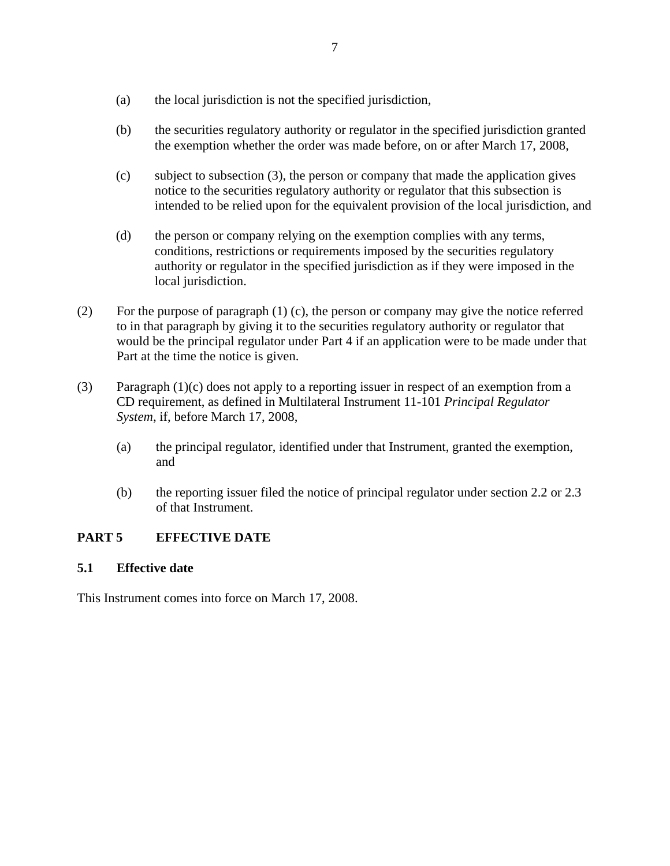- <span id="page-7-0"></span>(a) the local jurisdiction is not the specified jurisdiction,
- (b) the securities regulatory authority or regulator in the specified jurisdiction granted the exemption whether the order was made before, on or after March 17, 2008,
- (c) subject to subsection (3), the person or company that made the application gives notice to the securities regulatory authority or regulator that this subsection is intended to be relied upon for the equivalent provision of the local jurisdiction, and
- (d) the person or company relying on the exemption complies with any terms, conditions, restrictions or requirements imposed by the securities regulatory authority or regulator in the specified jurisdiction as if they were imposed in the local jurisdiction.
- (2) For the purpose of paragraph (1) (c), the person or company may give the notice referred to in that paragraph by giving it to the securities regulatory authority or regulator that would be the principal regulator under Part 4 if an application were to be made under that Part at the time the notice is given.
- (3) Paragraph  $(1)(c)$  does not apply to a reporting issuer in respect of an exemption from a CD requirement, as defined in Multilateral Instrument 11-101 *Principal Regulator System*, if, before March 17, 2008,
	- (a) the principal regulator, identified under that Instrument, granted the exemption, and
	- (b) the reporting issuer filed the notice of principal regulator under section 2.2 or 2.3 of that Instrument.

## **PART 5 EFFECTIVE DATE**

#### **5.1 Effective date**

This Instrument comes into force on March 17, 2008.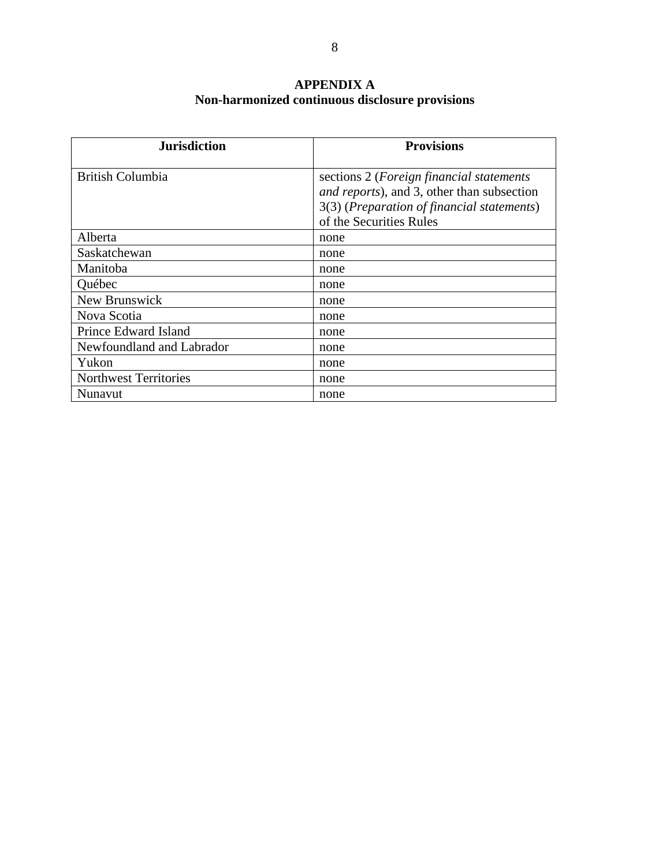## **APPENDIX A Non-harmonized continuous disclosure provisions**

<span id="page-8-0"></span>

| <b>Jurisdiction</b>          | <b>Provisions</b>                                                                                                                                                       |
|------------------------------|-------------------------------------------------------------------------------------------------------------------------------------------------------------------------|
| <b>British Columbia</b>      | sections 2 ( <i>Foreign financial statements</i><br>and reports), and 3, other than subsection<br>3(3) (Preparation of financial statements)<br>of the Securities Rules |
| Alberta                      | none                                                                                                                                                                    |
| Saskatchewan                 | none                                                                                                                                                                    |
| Manitoba                     | none                                                                                                                                                                    |
| Québec                       | none                                                                                                                                                                    |
| New Brunswick                | none                                                                                                                                                                    |
| Nova Scotia                  | none                                                                                                                                                                    |
| Prince Edward Island         | none                                                                                                                                                                    |
| Newfoundland and Labrador    | none                                                                                                                                                                    |
| Yukon                        | none                                                                                                                                                                    |
| <b>Northwest Territories</b> | none                                                                                                                                                                    |
| Nunavut                      | none                                                                                                                                                                    |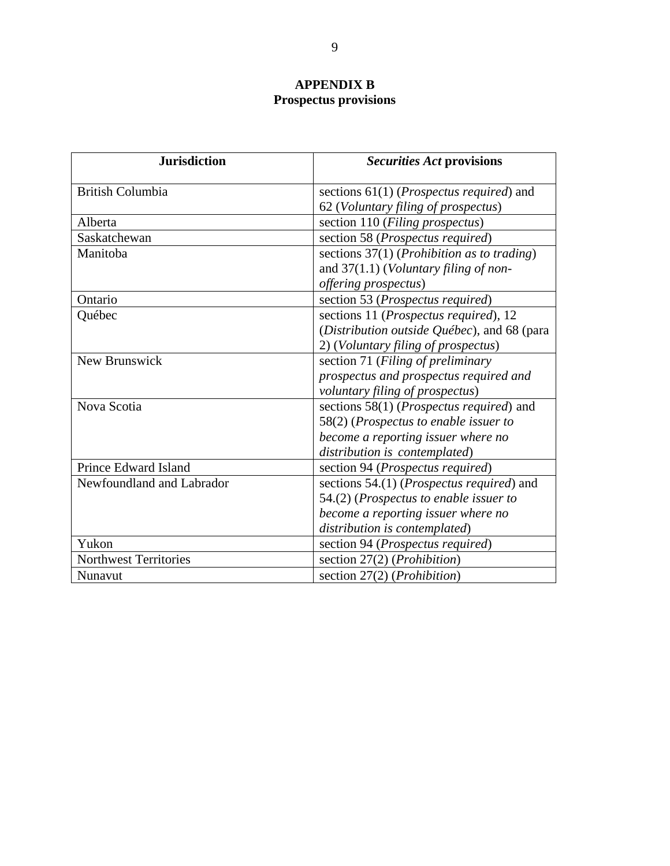# **APPENDIX B Prospectus provisions**

<span id="page-9-0"></span>

| <b>Jurisdiction</b>          | <i>Securities Act provisions</i>                      |
|------------------------------|-------------------------------------------------------|
| <b>British Columbia</b>      | sections $61(1)$ ( <i>Prospectus required</i> ) and   |
|                              | 62 (Voluntary filing of prospectus)                   |
| Alberta                      | section 110 (Filing prospectus)                       |
| Saskatchewan                 | section 58 (Prospectus required)                      |
| Manitoba                     | sections $37(1)$ ( <i>Prohibition as to trading</i> ) |
|                              | and $37(1.1)$ ( <i>Voluntary filing of non-</i>       |
|                              | offering prospectus)                                  |
| Ontario                      | section 53 (Prospectus required)                      |
| Québec                       | sections 11 (Prospectus required), 12                 |
|                              | (Distribution outside Québec), and 68 (para           |
|                              | 2) (Voluntary filing of prospectus)                   |
| New Brunswick                | section 71 (Filing of preliminary                     |
|                              | prospectus and prospectus required and                |
|                              | voluntary filing of prospectus)                       |
| Nova Scotia                  | sections $58(1)$ ( <i>Prospectus required</i> ) and   |
|                              | 58(2) (Prospectus to enable issuer to                 |
|                              | become a reporting issuer where no                    |
|                              | distribution is contemplated)                         |
| Prince Edward Island         | section 94 ( <i>Prospectus required</i> )             |
| Newfoundland and Labrador    | sections 54.(1) (Prospectus required) and             |
|                              | $54.2$ ) (Prospectus to enable issuer to              |
|                              | become a reporting issuer where no                    |
|                              | distribution is contemplated)                         |
| Yukon                        | section 94 (Prospectus required)                      |
| <b>Northwest Territories</b> | section $27(2)$ ( <i>Prohibition</i> )                |
| Nunavut                      | section 27(2) ( <i>Prohibition</i> )                  |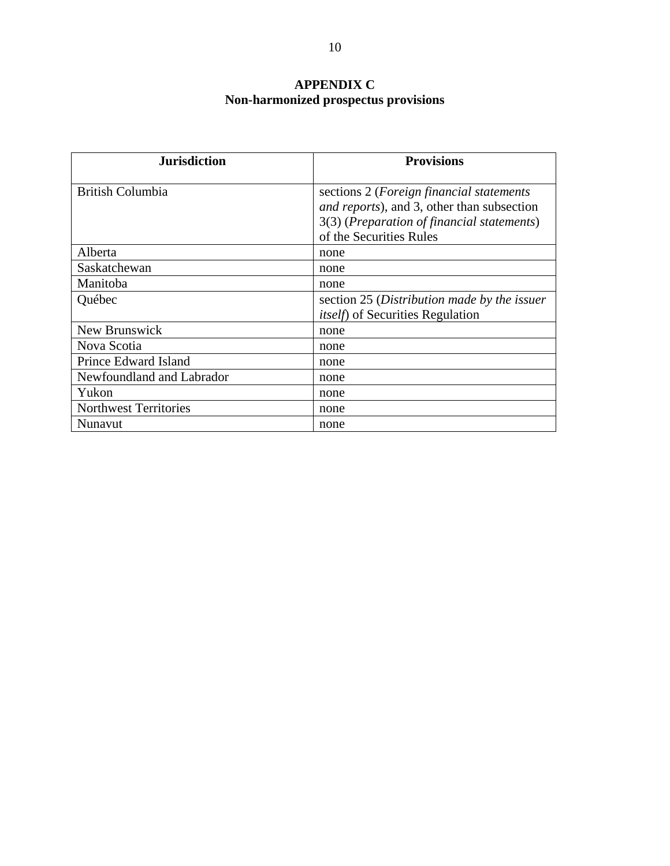# **APPENDIX C Non-harmonized prospectus provisions**

<span id="page-10-0"></span>

| <b>Jurisdiction</b>          | <b>Provisions</b>                                                                                                                                                               |
|------------------------------|---------------------------------------------------------------------------------------------------------------------------------------------------------------------------------|
| <b>British Columbia</b>      | sections 2 ( <i>Foreign financial statements</i><br><i>and reports</i> ), and 3, other than subsection<br>3(3) (Preparation of financial statements)<br>of the Securities Rules |
| Alberta                      | none                                                                                                                                                                            |
| Saskatchewan                 | none                                                                                                                                                                            |
| Manitoba                     | none                                                                                                                                                                            |
| Québec                       | section 25 (Distribution made by the issuer<br><i>itself</i> ) of Securities Regulation                                                                                         |
| New Brunswick                | none                                                                                                                                                                            |
| Nova Scotia                  | none                                                                                                                                                                            |
| Prince Edward Island         | none                                                                                                                                                                            |
| Newfoundland and Labrador    | none                                                                                                                                                                            |
| Yukon                        | none                                                                                                                                                                            |
| <b>Northwest Territories</b> | none                                                                                                                                                                            |
| Nunavut                      | none                                                                                                                                                                            |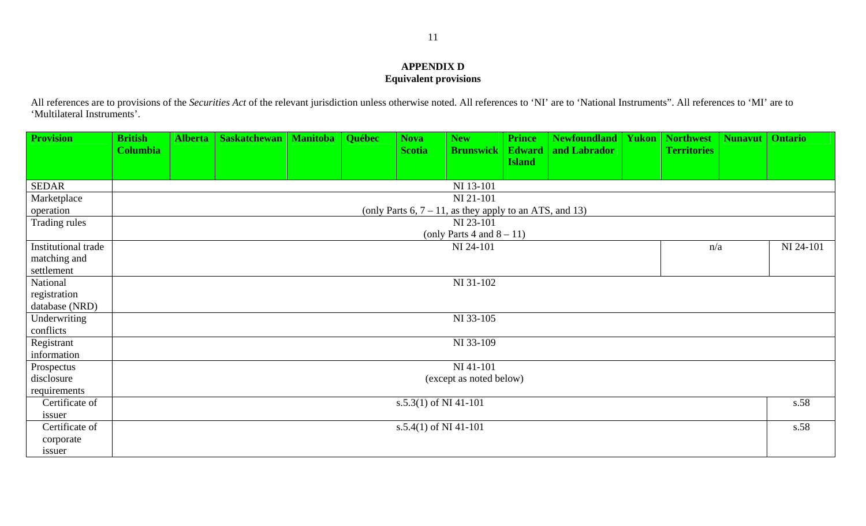### **APPENDIX D Equivalent provisions**

All references are to provisions of the *Securities Act* of the relevant jurisdiction unless otherwise noted. All references to 'NI' are to 'National Instruments". All references to 'MI' are to 'Multilateral Instruments'.

<span id="page-11-0"></span>

| <b>Provision</b>    | <b>British</b>  | <b>Alberta</b> | <b>Saskatchewan</b> | <b>Manitoba</b> | Québec | <b>Nova</b>             | <b>New</b>                                                 | <b>Prince</b> | <b>Newfoundland</b> | <b>Yukon</b> | <b>Northwest</b>   | <b>Nunavut</b>   Ontario |           |
|---------------------|-----------------|----------------|---------------------|-----------------|--------|-------------------------|------------------------------------------------------------|---------------|---------------------|--------------|--------------------|--------------------------|-----------|
|                     | <b>Columbia</b> |                |                     |                 |        | <b>Scotia</b>           | <b>Brunswick</b>                                           | <b>Edward</b> | and Labrador        |              | <b>Territories</b> |                          |           |
|                     |                 |                |                     |                 |        |                         |                                                            | <b>Island</b> |                     |              |                    |                          |           |
| <b>SEDAR</b>        |                 |                |                     |                 |        |                         | NI 13-101                                                  |               |                     |              |                    |                          |           |
| Marketplace         |                 |                |                     |                 |        |                         | NI 21-101                                                  |               |                     |              |                    |                          |           |
| operation           |                 |                |                     |                 |        |                         | (only Parts $6, 7 - 11$ , as they apply to an ATS, and 13) |               |                     |              |                    |                          |           |
| Trading rules       |                 |                |                     |                 |        |                         | NI 23-101                                                  |               |                     |              |                    |                          |           |
|                     |                 |                |                     |                 |        |                         | (only Parts 4 and $8-11$ )                                 |               |                     |              |                    |                          |           |
| Institutional trade |                 |                |                     |                 |        |                         | NI 24-101                                                  |               |                     |              | n/a                |                          | NI 24-101 |
| matching and        |                 |                |                     |                 |        |                         |                                                            |               |                     |              |                    |                          |           |
| settlement          |                 |                |                     |                 |        |                         |                                                            |               |                     |              |                    |                          |           |
| National            |                 |                |                     |                 |        |                         | NI 31-102                                                  |               |                     |              |                    |                          |           |
| registration        |                 |                |                     |                 |        |                         |                                                            |               |                     |              |                    |                          |           |
| database (NRD)      |                 |                |                     |                 |        |                         |                                                            |               |                     |              |                    |                          |           |
| Underwriting        |                 |                |                     |                 |        |                         | NI 33-105                                                  |               |                     |              |                    |                          |           |
| conflicts           |                 |                |                     |                 |        |                         |                                                            |               |                     |              |                    |                          |           |
| Registrant          |                 |                |                     |                 |        |                         | NI 33-109                                                  |               |                     |              |                    |                          |           |
| information         |                 |                |                     |                 |        |                         |                                                            |               |                     |              |                    |                          |           |
| Prospectus          |                 |                |                     |                 |        |                         | NI 41-101                                                  |               |                     |              |                    |                          |           |
| disclosure          |                 |                |                     |                 |        |                         | (except as noted below)                                    |               |                     |              |                    |                          |           |
| requirements        |                 |                |                     |                 |        |                         |                                                            |               |                     |              |                    |                          |           |
| Certificate of      |                 |                |                     |                 |        | $s.5.3(1)$ of NI 41-101 |                                                            |               |                     |              |                    |                          | s.58      |
| issuer              |                 |                |                     |                 |        |                         |                                                            |               |                     |              |                    |                          |           |
| Certificate of      |                 |                |                     |                 |        | s.5.4(1) of NI 41-101   |                                                            |               |                     |              |                    |                          | s.58      |
| corporate           |                 |                |                     |                 |        |                         |                                                            |               |                     |              |                    |                          |           |
| issuer              |                 |                |                     |                 |        |                         |                                                            |               |                     |              |                    |                          |           |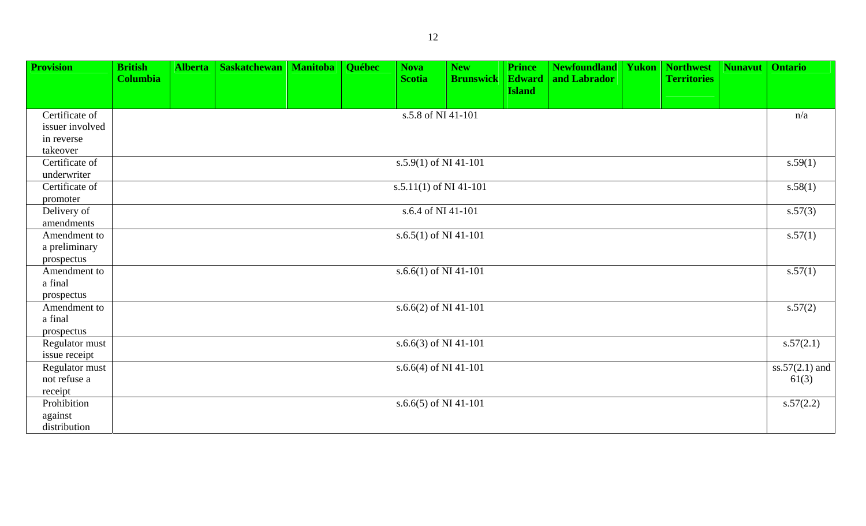| <b>Provision</b>                | <b>British</b><br><b>Columbia</b> | <b>Alberta</b> | <b>Saskatchewan</b>   Manitoba | Québec | <b>Nova</b><br><b>Scotia</b> | <b>New</b><br><b>Brunswick</b> | <b>Prince</b><br><b>Edward</b><br><b>Island</b> | <b>Newfoundland</b><br>and Labrador | Yukon | <b>Northwest</b><br><b>Territories</b> | <b>Nunavut</b> | <b>Ontario</b>   |
|---------------------------------|-----------------------------------|----------------|--------------------------------|--------|------------------------------|--------------------------------|-------------------------------------------------|-------------------------------------|-------|----------------------------------------|----------------|------------------|
| Certificate of                  |                                   |                |                                |        | s.5.8 of NI 41-101           |                                |                                                 |                                     |       |                                        |                | n/a              |
| issuer involved                 |                                   |                |                                |        |                              |                                |                                                 |                                     |       |                                        |                |                  |
| in reverse                      |                                   |                |                                |        |                              |                                |                                                 |                                     |       |                                        |                |                  |
| takeover                        |                                   |                |                                |        |                              |                                |                                                 |                                     |       |                                        |                |                  |
| Certificate of                  |                                   |                |                                |        | s.5.9(1) of NI 41-101        |                                |                                                 |                                     |       |                                        |                | s.59(1)          |
| underwriter                     |                                   |                |                                |        |                              |                                |                                                 |                                     |       |                                        |                |                  |
| Certificate of                  |                                   |                |                                |        | s.5.11(1) of NI 41-101       |                                |                                                 |                                     |       |                                        |                | s.58(1)          |
| promoter                        |                                   |                |                                |        |                              |                                |                                                 |                                     |       |                                        |                |                  |
| Delivery of                     |                                   |                |                                |        | s.6.4 of NI 41-101           |                                |                                                 |                                     |       |                                        |                | s.57(3)          |
| amendments                      |                                   |                |                                |        |                              |                                |                                                 |                                     |       |                                        |                |                  |
| Amendment to                    |                                   |                |                                |        | s.6.5(1) of NI 41-101        |                                |                                                 |                                     |       |                                        |                | s.57(1)          |
| a preliminary                   |                                   |                |                                |        |                              |                                |                                                 |                                     |       |                                        |                |                  |
| prospectus                      |                                   |                |                                |        |                              |                                |                                                 |                                     |       |                                        |                |                  |
| Amendment to                    |                                   |                |                                |        | s.6.6(1) of NI 41-101        |                                |                                                 |                                     |       |                                        |                | s.57(1)          |
| a final                         |                                   |                |                                |        |                              |                                |                                                 |                                     |       |                                        |                |                  |
| prospectus                      |                                   |                |                                |        |                              |                                |                                                 |                                     |       |                                        |                |                  |
| Amendment to                    |                                   |                |                                |        | s.6.6(2) of NI 41-101        |                                |                                                 |                                     |       |                                        |                | s.57(2)          |
| a final                         |                                   |                |                                |        |                              |                                |                                                 |                                     |       |                                        |                |                  |
| prospectus                      |                                   |                |                                |        |                              |                                |                                                 |                                     |       |                                        |                |                  |
| Regulator must                  |                                   |                |                                |        | s.6.6(3) of NI 41-101        |                                |                                                 |                                     |       |                                        |                | s.57(2.1)        |
| issue receipt<br>Regulator must |                                   |                |                                |        | s.6.6(4) of NI 41-101        |                                |                                                 |                                     |       |                                        |                | $ss.57(2.1)$ and |
| not refuse a                    |                                   |                |                                |        |                              |                                |                                                 |                                     |       |                                        |                | 61(3)            |
| receipt                         |                                   |                |                                |        |                              |                                |                                                 |                                     |       |                                        |                |                  |
| Prohibition                     |                                   |                |                                |        | s.6.6(5) of NI 41-101        |                                |                                                 |                                     |       |                                        |                | s.57(2.2)        |
| against                         |                                   |                |                                |        |                              |                                |                                                 |                                     |       |                                        |                |                  |
| distribution                    |                                   |                |                                |        |                              |                                |                                                 |                                     |       |                                        |                |                  |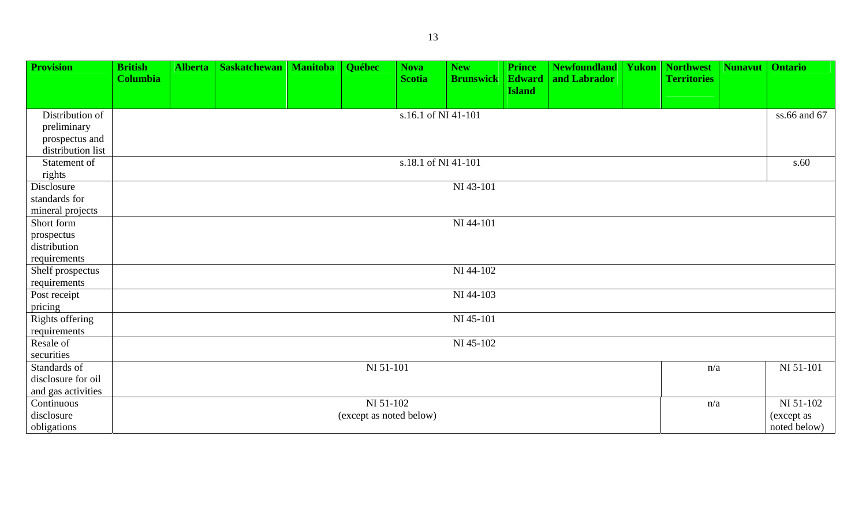| <b>Provision</b>             | <b>British</b>  | <b>Alberta</b> | <b>Saskatchewan</b> | <b>Manitoba</b> | Québec                  | <b>Nova</b>         | <b>New</b>       | <b>Prince</b>                  | <b>Newfoundland</b> | <b>Yukon   Northwest</b> | <b>Nunavut</b> | <b>Ontario</b> |
|------------------------------|-----------------|----------------|---------------------|-----------------|-------------------------|---------------------|------------------|--------------------------------|---------------------|--------------------------|----------------|----------------|
|                              | <b>Columbia</b> |                |                     |                 |                         | <b>Scotia</b>       | <b>Brunswick</b> | <b>Edward</b><br><b>Island</b> | and Labrador        | <b>Territories</b>       |                |                |
|                              |                 |                |                     |                 |                         |                     |                  |                                |                     |                          |                |                |
| Distribution of              |                 |                |                     |                 |                         | s.16.1 of NI 41-101 |                  |                                |                     |                          |                | ss.66 and 67   |
| preliminary                  |                 |                |                     |                 |                         |                     |                  |                                |                     |                          |                |                |
| prospectus and               |                 |                |                     |                 |                         |                     |                  |                                |                     |                          |                |                |
| distribution list            |                 |                |                     |                 |                         |                     |                  |                                |                     |                          |                |                |
| Statement of                 |                 |                |                     |                 |                         | s.18.1 of NI 41-101 |                  |                                |                     |                          |                | s.60           |
| rights                       |                 |                |                     |                 |                         |                     |                  |                                |                     |                          |                |                |
| Disclosure                   |                 |                |                     |                 |                         |                     | NI 43-101        |                                |                     |                          |                |                |
| standards for                |                 |                |                     |                 |                         |                     |                  |                                |                     |                          |                |                |
| mineral projects             |                 |                |                     |                 |                         |                     |                  |                                |                     |                          |                |                |
| Short form                   |                 |                |                     |                 |                         |                     | NI 44-101        |                                |                     |                          |                |                |
| prospectus                   |                 |                |                     |                 |                         |                     |                  |                                |                     |                          |                |                |
| distribution                 |                 |                |                     |                 |                         |                     |                  |                                |                     |                          |                |                |
| requirements                 |                 |                |                     |                 |                         |                     | NI 44-102        |                                |                     |                          |                |                |
| Shelf prospectus             |                 |                |                     |                 |                         |                     |                  |                                |                     |                          |                |                |
| requirements<br>Post receipt |                 |                |                     |                 |                         |                     | NI 44-103        |                                |                     |                          |                |                |
| pricing                      |                 |                |                     |                 |                         |                     |                  |                                |                     |                          |                |                |
| Rights offering              |                 |                |                     |                 |                         |                     | NI 45-101        |                                |                     |                          |                |                |
| requirements                 |                 |                |                     |                 |                         |                     |                  |                                |                     |                          |                |                |
| Resale of                    |                 |                |                     |                 |                         |                     | NI 45-102        |                                |                     |                          |                |                |
| securities                   |                 |                |                     |                 |                         |                     |                  |                                |                     |                          |                |                |
| Standards of                 |                 |                |                     |                 | NI 51-101               |                     |                  |                                |                     | n/a                      |                | NI 51-101      |
| disclosure for oil           |                 |                |                     |                 |                         |                     |                  |                                |                     |                          |                |                |
| and gas activities           |                 |                |                     |                 |                         |                     |                  |                                |                     |                          |                |                |
| Continuous                   |                 |                |                     |                 | NI 51-102               |                     |                  |                                |                     | n/a                      |                | NI 51-102      |
| disclosure                   |                 |                |                     |                 | (except as noted below) |                     |                  |                                |                     |                          |                | (except as     |
| obligations                  |                 |                |                     |                 |                         |                     |                  |                                |                     |                          |                | noted below)   |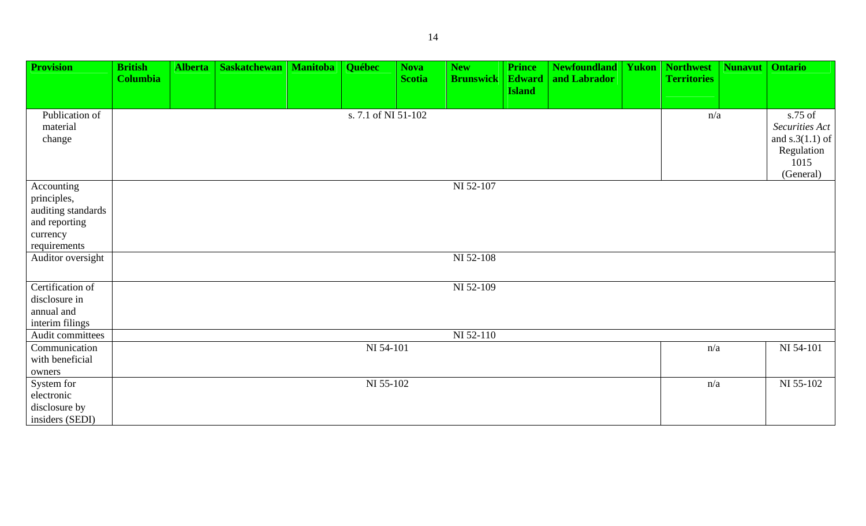| <b>Provision</b>                                                                             | <b>British</b><br><b>Columbia</b> | <b>Alberta</b> | <b>Saskatchewan</b> | <b>Manitoba</b> | Québec              | <b>Nova</b><br><b>Scotia</b> | <b>New</b><br><b>Brunswick</b> | <b>Prince</b><br><b>Edward</b><br><b>Island</b> | <b>Newfoundland</b><br>and Labrador | <b>Yukon</b> | <b>Northwest</b><br><b>Territories</b> | <b>Nunavut</b> | <b>Ontario</b>                                                                    |
|----------------------------------------------------------------------------------------------|-----------------------------------|----------------|---------------------|-----------------|---------------------|------------------------------|--------------------------------|-------------------------------------------------|-------------------------------------|--------------|----------------------------------------|----------------|-----------------------------------------------------------------------------------|
| Publication of<br>material<br>change                                                         |                                   |                |                     |                 | s. 7.1 of NI 51-102 |                              |                                |                                                 |                                     |              | n/a                                    |                | s.75 of<br>Securities Act<br>and $s.3(1.1)$ of<br>Regulation<br>1015<br>(General) |
| Accounting<br>principles,<br>auditing standards<br>and reporting<br>currency<br>requirements |                                   |                |                     |                 |                     |                              | NI 52-107                      |                                                 |                                     |              |                                        |                |                                                                                   |
| Auditor oversight                                                                            |                                   |                |                     |                 |                     |                              | NI 52-108                      |                                                 |                                     |              |                                        |                |                                                                                   |
| Certification of<br>disclosure in<br>annual and<br>interim filings                           |                                   |                |                     |                 |                     |                              | NI 52-109                      |                                                 |                                     |              |                                        |                |                                                                                   |
| Audit committees                                                                             |                                   |                |                     |                 |                     |                              | NI 52-110                      |                                                 |                                     |              |                                        |                |                                                                                   |
| Communication<br>with beneficial<br>owners                                                   |                                   |                |                     |                 | NI 54-101           |                              |                                |                                                 |                                     |              | n/a                                    |                | NI 54-101                                                                         |
| System for<br>electronic<br>disclosure by<br>insiders (SEDI)                                 |                                   |                |                     |                 | NI 55-102           |                              |                                |                                                 |                                     |              | n/a                                    |                | NI 55-102                                                                         |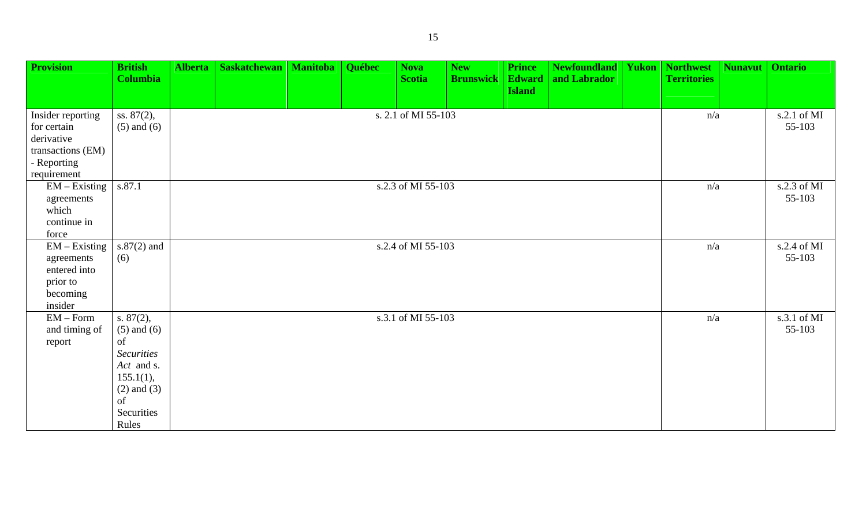| <b>Provision</b>                                                                                  | <b>British</b><br><b>Columbia</b>                                                                                               | <b>Alberta</b> | Saskatchewan | <b>Manitoba</b> | Québec | <b>Nova</b><br><b>Scotia</b> | <b>New</b><br><b>Brunswick</b> | <b>Prince</b><br><b>Edward</b> | <b>Newfoundland</b><br>and Labrador | <b>Yukon   Northwest</b><br><b>Territories</b> | Nunavut               | <b>Ontario</b>        |
|---------------------------------------------------------------------------------------------------|---------------------------------------------------------------------------------------------------------------------------------|----------------|--------------|-----------------|--------|------------------------------|--------------------------------|--------------------------------|-------------------------------------|------------------------------------------------|-----------------------|-----------------------|
|                                                                                                   |                                                                                                                                 |                |              |                 |        |                              |                                | <b>Island</b>                  |                                     |                                                |                       |                       |
| Insider reporting<br>for certain<br>derivative<br>transactions (EM)<br>- Reporting<br>requirement | ss. 87(2),<br>$(5)$ and $(6)$                                                                                                   |                |              |                 |        | s. 2.1 of MI 55-103          |                                |                                |                                     | n/a                                            |                       | s.2.1 of MI<br>55-103 |
| $EM - Existing$<br>agreements<br>which<br>continue in<br>force                                    | s.87.1                                                                                                                          |                |              |                 |        | s.2.3 of MI 55-103           |                                |                                |                                     | n/a                                            |                       | s.2.3 of MI<br>55-103 |
| $EM - Existing$<br>agreements<br>entered into<br>prior to<br>becoming<br>insider                  | $s.87(2)$ and<br>(6)                                                                                                            |                |              |                 |        | s.2.4 of MI 55-103           |                                |                                |                                     | n/a                                            | s.2.4 of MI<br>55-103 |                       |
| $EM$ – Form<br>and timing of<br>report                                                            | s. $87(2)$ ,<br>$(5)$ and $(6)$<br>of<br><b>Securities</b><br>Act and s.<br>$155.1(1)$ ,<br>$(2)$ and $(3)$<br>of<br>Securities |                |              |                 |        | s.3.1 of MI 55-103           |                                |                                |                                     | n/a                                            |                       | s.3.1 of MI<br>55-103 |

Rules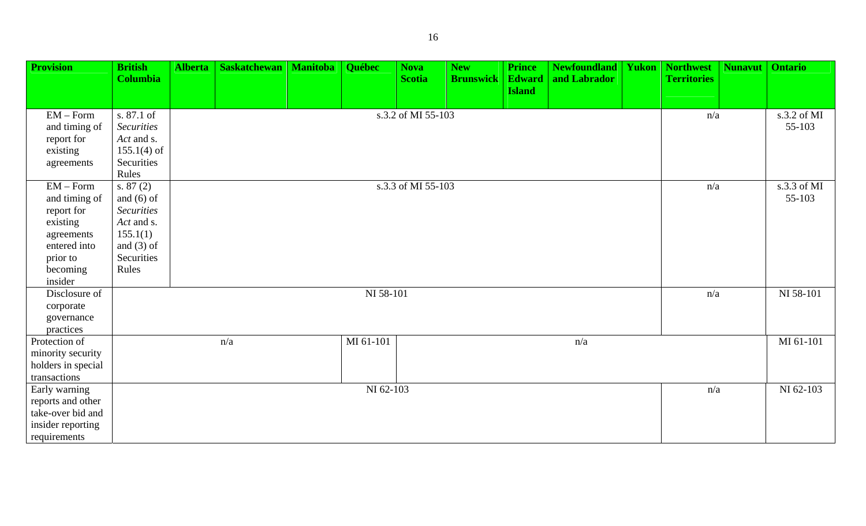| <b>Provision</b>        | <b>British</b>    | <b>Alberta</b> | <b>Saskatchewan</b> | <b>Manitoba</b> | Québec    | <b>Nova</b>        | <b>New</b>       | <b>Prince</b> | <b>Newfoundland</b> | <b>Yukon   Northwest</b> | <b>Nunavut</b> | <b>Ontario</b> |
|-------------------------|-------------------|----------------|---------------------|-----------------|-----------|--------------------|------------------|---------------|---------------------|--------------------------|----------------|----------------|
|                         | <b>Columbia</b>   |                |                     |                 |           | <b>Scotia</b>      | <b>Brunswick</b> | <b>Edward</b> | and Labrador        | <b>Territories</b>       |                |                |
|                         |                   |                |                     |                 |           |                    |                  | <b>Island</b> |                     |                          |                |                |
| $EM$ – Form             | s. 87.1 of        |                |                     |                 |           | s.3.2 of MI 55-103 |                  |               |                     | n/a                      |                | s.3.2 of MI    |
| and timing of           | <b>Securities</b> |                |                     |                 |           |                    |                  |               |                     |                          |                | 55-103         |
| report for              | Act and s.        |                |                     |                 |           |                    |                  |               |                     |                          |                |                |
| existing                | $155.1(4)$ of     |                |                     |                 |           |                    |                  |               |                     |                          |                |                |
| agreements              | Securities        |                |                     |                 |           |                    |                  |               |                     |                          |                |                |
|                         | Rules             |                |                     |                 |           |                    |                  |               |                     |                          |                |                |
| $EM$ – Form             | s. $87(2)$        |                |                     |                 |           | s.3.3 of MI 55-103 |                  |               |                     | n/a                      |                | s.3.3 of MI    |
| and timing of           | and $(6)$ of      |                |                     |                 |           |                    |                  |               |                     |                          |                | 55-103         |
| report for              | <b>Securities</b> |                |                     |                 |           |                    |                  |               |                     |                          |                |                |
| existing                | Act and s.        |                |                     |                 |           |                    |                  |               |                     |                          |                |                |
| agreements              | 155.1(1)          |                |                     |                 |           |                    |                  |               |                     |                          |                |                |
| entered into            | and $(3)$ of      |                |                     |                 |           |                    |                  |               |                     |                          |                |                |
| prior to                | Securities        |                |                     |                 |           |                    |                  |               |                     |                          |                |                |
| becoming<br>insider     | Rules             |                |                     |                 |           |                    |                  |               |                     |                          |                |                |
| Disclosure of           |                   |                |                     |                 | NI 58-101 |                    |                  |               |                     | n/a                      |                | NI 58-101      |
|                         |                   |                |                     |                 |           |                    |                  |               |                     |                          |                |                |
| corporate<br>governance |                   |                |                     |                 |           |                    |                  |               |                     |                          |                |                |
| practices               |                   |                |                     |                 |           |                    |                  |               |                     |                          |                |                |
| Protection of           |                   |                | n/a                 |                 | MI 61-101 |                    |                  |               | n/a                 |                          |                | MI 61-101      |
| minority security       |                   |                |                     |                 |           |                    |                  |               |                     |                          |                |                |
| holders in special      |                   |                |                     |                 |           |                    |                  |               |                     |                          |                |                |
| transactions            |                   |                |                     |                 |           |                    |                  |               |                     |                          |                |                |
| Early warning           |                   |                |                     |                 | NI 62-103 |                    |                  |               |                     | n/a                      |                | NI 62-103      |
| reports and other       |                   |                |                     |                 |           |                    |                  |               |                     |                          |                |                |
| take-over bid and       |                   |                |                     |                 |           |                    |                  |               |                     |                          |                |                |
| insider reporting       |                   |                |                     |                 |           |                    |                  |               |                     |                          |                |                |
| requirements            |                   |                |                     |                 |           |                    |                  |               |                     |                          |                |                |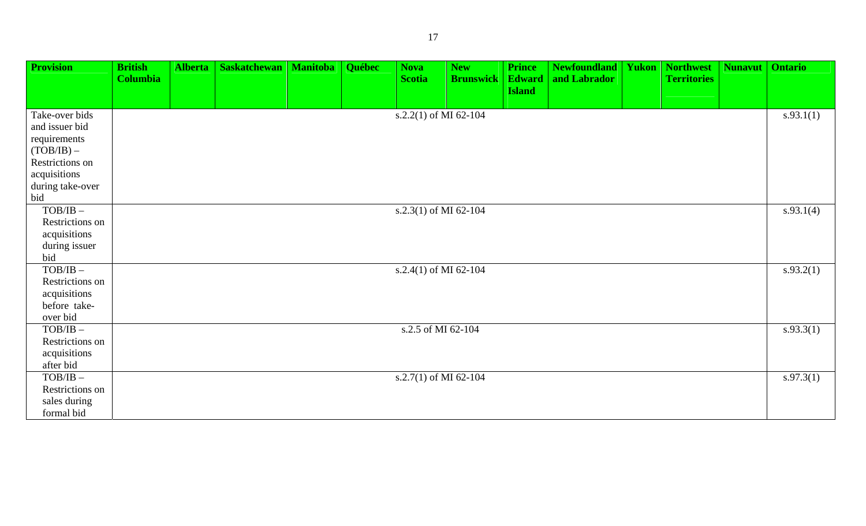| <b>Provision</b> | <b>British</b>  | <b>Alberta</b> | <b>Saskatchewan</b> | <b>Manitoba</b> | Québec | <b>Nova</b>           | <b>New</b>       | <b>Prince</b> | <b>Newfoundland</b> | <b>Yukon</b> | <b>Northwest</b>   | Nunavut | <b>Ontario</b> |
|------------------|-----------------|----------------|---------------------|-----------------|--------|-----------------------|------------------|---------------|---------------------|--------------|--------------------|---------|----------------|
|                  | <b>Columbia</b> |                |                     |                 |        | <b>Scotia</b>         | <b>Brunswick</b> | <b>Edward</b> | and Labrador        |              | <b>Territories</b> |         |                |
|                  |                 |                |                     |                 |        |                       |                  | <b>Island</b> |                     |              |                    |         |                |
|                  |                 |                |                     |                 |        |                       |                  |               |                     |              |                    |         |                |
| Take-over bids   |                 |                |                     |                 |        | s.2.2(1) of MI 62-104 |                  |               |                     |              |                    |         | s.93.1(1)      |
| and issuer bid   |                 |                |                     |                 |        |                       |                  |               |                     |              |                    |         |                |
| requirements     |                 |                |                     |                 |        |                       |                  |               |                     |              |                    |         |                |
| $(TOB/IB)$ –     |                 |                |                     |                 |        |                       |                  |               |                     |              |                    |         |                |
| Restrictions on  |                 |                |                     |                 |        |                       |                  |               |                     |              |                    |         |                |
| acquisitions     |                 |                |                     |                 |        |                       |                  |               |                     |              |                    |         |                |
| during take-over |                 |                |                     |                 |        |                       |                  |               |                     |              |                    |         |                |
| bid              |                 |                |                     |                 |        |                       |                  |               |                     |              |                    |         |                |
| $TOB/IB$ -       |                 |                |                     |                 |        | s.2.3(1) of MI 62-104 |                  |               |                     |              |                    |         | s.93.1(4)      |
| Restrictions on  |                 |                |                     |                 |        |                       |                  |               |                     |              |                    |         |                |
| acquisitions     |                 |                |                     |                 |        |                       |                  |               |                     |              |                    |         |                |
| during issuer    |                 |                |                     |                 |        |                       |                  |               |                     |              |                    |         |                |
| bid              |                 |                |                     |                 |        |                       |                  |               |                     |              |                    |         |                |
| $TOB/IB$ -       |                 |                |                     |                 |        | s.2.4(1) of MI 62-104 |                  |               |                     |              |                    |         | s.93.2(1)      |
| Restrictions on  |                 |                |                     |                 |        |                       |                  |               |                     |              |                    |         |                |
| acquisitions     |                 |                |                     |                 |        |                       |                  |               |                     |              |                    |         |                |
| before take-     |                 |                |                     |                 |        |                       |                  |               |                     |              |                    |         |                |
| over bid         |                 |                |                     |                 |        |                       |                  |               |                     |              |                    |         |                |
| $TOB/IB$ -       |                 |                |                     |                 |        | s.2.5 of MI 62-104    |                  |               |                     |              |                    |         | s.93.3(1)      |
| Restrictions on  |                 |                |                     |                 |        |                       |                  |               |                     |              |                    |         |                |
| acquisitions     |                 |                |                     |                 |        |                       |                  |               |                     |              |                    |         |                |
| after bid        |                 |                |                     |                 |        |                       |                  |               |                     |              |                    |         |                |
| $TOB/IB$ -       |                 |                |                     |                 |        | s.2.7(1) of MI 62-104 |                  |               |                     |              |                    |         | s.97.3(1)      |
| Restrictions on  |                 |                |                     |                 |        |                       |                  |               |                     |              |                    |         |                |
| sales during     |                 |                |                     |                 |        |                       |                  |               |                     |              |                    |         |                |
| formal bid       |                 |                |                     |                 |        |                       |                  |               |                     |              |                    |         |                |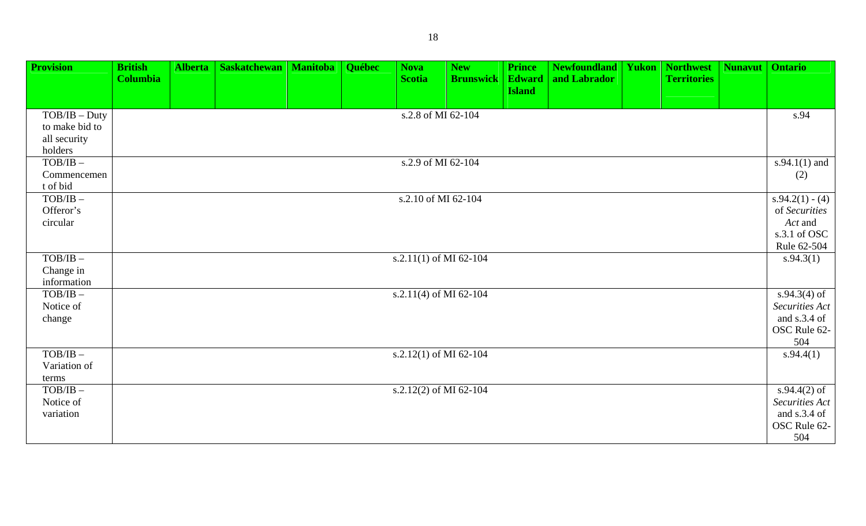| <b>Provision</b>                                             | <b>British</b><br><b>Columbia</b> | <b>Alberta</b> | <b>Saskatchewan</b> | Manitoba | <b>Québec</b> | <b>Nova</b><br><b>Scotia</b> | <b>New</b><br><b>Brunswick</b> | <b>Prince</b><br><b>Edward</b><br><b>Island</b> | <b>Newfoundland</b><br>and Labrador | <b>Yukon   Northwest</b><br><b>Territories</b> | <b>Nunavut</b> | <b>Ontario</b>                                                               |
|--------------------------------------------------------------|-----------------------------------|----------------|---------------------|----------|---------------|------------------------------|--------------------------------|-------------------------------------------------|-------------------------------------|------------------------------------------------|----------------|------------------------------------------------------------------------------|
| $TOB/IB - Duty$<br>to make bid to<br>all security<br>holders |                                   |                |                     |          |               | s.2.8 of MI 62-104           |                                |                                                 |                                     |                                                |                | s.94                                                                         |
| $TOB/IB$ -<br>Commencemen<br>t of bid                        |                                   |                |                     |          |               | s.2.9 of MI 62-104           |                                |                                                 |                                     |                                                |                | $s.94.1(1)$ and<br>(2)                                                       |
| $TOB/IB$ -<br>Offeror's<br>circular                          |                                   |                |                     |          |               | s.2.10 of MI 62-104          |                                |                                                 |                                     |                                                |                | $s.94.2(1) - (4)$<br>of Securities<br>Act and<br>s.3.1 of OSC<br>Rule 62-504 |
| $TOB/IB$ -<br>Change in<br>information                       |                                   |                |                     |          |               | s.2.11(1) of MI 62-104       |                                |                                                 |                                     |                                                |                | s.94.3(1)                                                                    |
| $TOB/IB$ -<br>Notice of<br>change                            |                                   |                |                     |          |               | s.2.11(4) of MI 62-104       |                                |                                                 |                                     |                                                |                | s.94.3(4) of<br>Securities Act<br>and s.3.4 of<br>OSC Rule 62-<br>504        |
| $TOB/IB$ -<br>Variation of<br>terms                          |                                   |                |                     |          |               | s.2.12(1) of MI 62-104       |                                |                                                 |                                     |                                                |                | s.94.4(1)                                                                    |
| $TOB/IB$ -<br>Notice of<br>variation                         |                                   |                |                     |          |               | s.2.12(2) of MI 62-104       |                                |                                                 |                                     |                                                |                | s.94.4 $(2)$ of<br>Securities Act<br>and $s.3.4$ of<br>OSC Rule 62-<br>504   |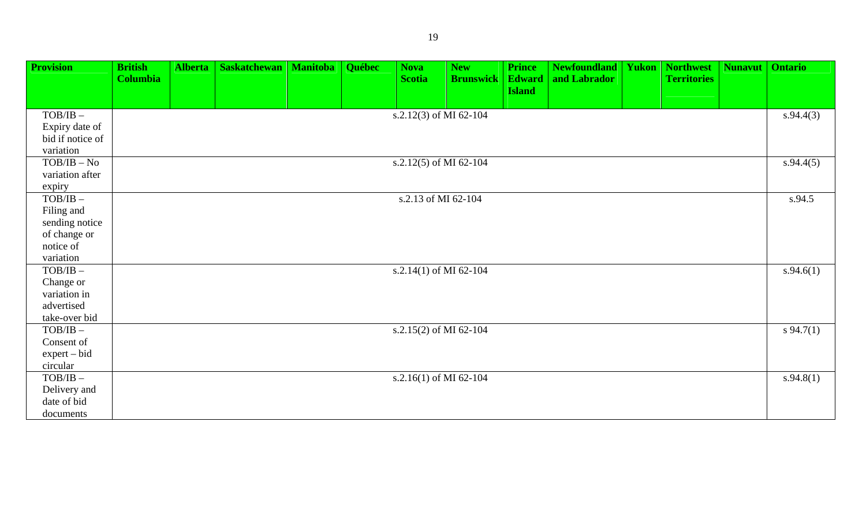| <b>Provision</b>            | <b>British</b>  | <b>Alberta</b> | <b>Saskatchewan</b> | <b>Manitoba</b> | Québec | <b>Nova</b>            | <b>New</b>       | <b>Prince</b> | <b>Newfoundland</b> | Yukon | <b>Northwest</b>   | <b>Nunavut</b> | <b>Ontario</b> |
|-----------------------------|-----------------|----------------|---------------------|-----------------|--------|------------------------|------------------|---------------|---------------------|-------|--------------------|----------------|----------------|
|                             | <b>Columbia</b> |                |                     |                 |        | <b>Scotia</b>          | <b>Brunswick</b> | <b>Edward</b> | and Labrador        |       | <b>Territories</b> |                |                |
|                             |                 |                |                     |                 |        |                        |                  | <b>Island</b> |                     |       |                    |                |                |
| $TOB/IB$ -                  |                 |                |                     |                 |        | s.2.12(3) of MI 62-104 |                  |               |                     |       |                    |                | s.94.4(3)      |
| Expiry date of              |                 |                |                     |                 |        |                        |                  |               |                     |       |                    |                |                |
| bid if notice of            |                 |                |                     |                 |        |                        |                  |               |                     |       |                    |                |                |
| variation                   |                 |                |                     |                 |        |                        |                  |               |                     |       |                    |                |                |
| $TOB/IB - No$               |                 |                |                     |                 |        | s.2.12(5) of MI 62-104 |                  |               |                     |       |                    |                | s.94.4(5)      |
| variation after             |                 |                |                     |                 |        |                        |                  |               |                     |       |                    |                |                |
| expiry                      |                 |                |                     |                 |        |                        |                  |               |                     |       |                    |                |                |
| $TOB/IB$ -                  |                 |                |                     |                 |        | s.2.13 of MI 62-104    |                  |               |                     |       |                    |                | s.94.5         |
| Filing and                  |                 |                |                     |                 |        |                        |                  |               |                     |       |                    |                |                |
| sending notice              |                 |                |                     |                 |        |                        |                  |               |                     |       |                    |                |                |
| of change or                |                 |                |                     |                 |        |                        |                  |               |                     |       |                    |                |                |
| notice of                   |                 |                |                     |                 |        |                        |                  |               |                     |       |                    |                |                |
| variation                   |                 |                |                     |                 |        |                        |                  |               |                     |       |                    |                |                |
| $TOB/IB$ -                  |                 |                |                     |                 |        | s.2.14(1) of MI 62-104 |                  |               |                     |       |                    |                | s.94.6(1)      |
| Change or                   |                 |                |                     |                 |        |                        |                  |               |                     |       |                    |                |                |
| variation in                |                 |                |                     |                 |        |                        |                  |               |                     |       |                    |                |                |
| advertised                  |                 |                |                     |                 |        |                        |                  |               |                     |       |                    |                |                |
| take-over bid<br>$TOB/IB$ - |                 |                |                     |                 |        |                        |                  |               |                     |       |                    |                |                |
| Consent of                  |                 |                |                     |                 |        | s.2.15(2) of MI 62-104 |                  |               |                     |       |                    |                | $s\,94.7(1)$   |
| $expert - bid$              |                 |                |                     |                 |        |                        |                  |               |                     |       |                    |                |                |
| circular                    |                 |                |                     |                 |        |                        |                  |               |                     |       |                    |                |                |
| $TOB/IB$ -                  |                 |                |                     |                 |        | s.2.16(1) of MI 62-104 |                  |               |                     |       |                    |                | s.94.8(1)      |
| Delivery and                |                 |                |                     |                 |        |                        |                  |               |                     |       |                    |                |                |
| date of bid                 |                 |                |                     |                 |        |                        |                  |               |                     |       |                    |                |                |
| documents                   |                 |                |                     |                 |        |                        |                  |               |                     |       |                    |                |                |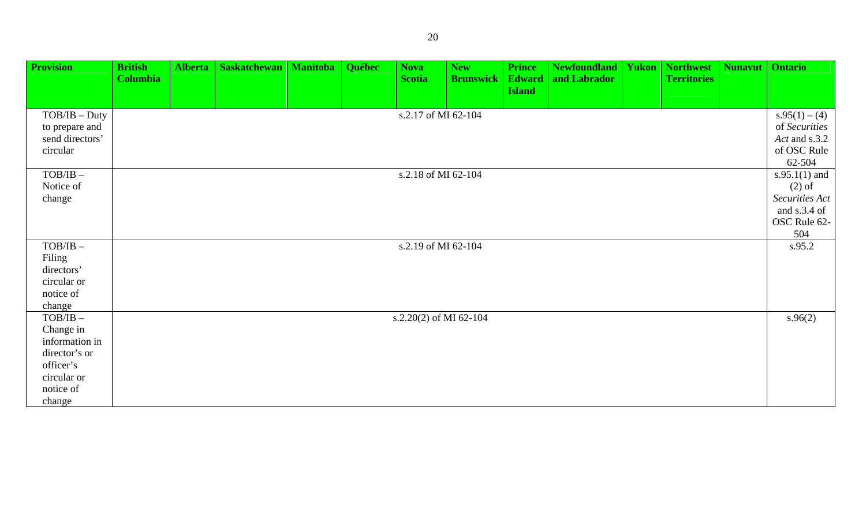| <b>Provision</b> | <b>British</b><br><b>Columbia</b> | <b>Alberta</b> | <b>Saskatchewan</b> | <b>Manitoba</b> | Québec | <b>Nova</b><br><b>Scotia</b> | <b>New</b><br><b>Brunswick</b> | <b>Prince</b><br><b>Edward</b> | <b>Newfoundland</b><br>and Labrador | <b>Yukon</b> | <b>Northwest</b><br><b>Territories</b> | <b>Nunavut</b> | <b>Ontario</b>               |
|------------------|-----------------------------------|----------------|---------------------|-----------------|--------|------------------------------|--------------------------------|--------------------------------|-------------------------------------|--------------|----------------------------------------|----------------|------------------------------|
|                  |                                   |                |                     |                 |        |                              |                                | <b>Island</b>                  |                                     |              |                                        |                |                              |
| $TOB/IB - Duty$  |                                   |                |                     |                 |        | s.2.17 of MI 62-104          |                                |                                |                                     |              |                                        |                | $s.95(1) - (4)$              |
| to prepare and   |                                   |                |                     |                 |        |                              |                                |                                |                                     |              |                                        |                | of Securities                |
| send directors'  |                                   |                |                     |                 |        |                              |                                |                                |                                     |              |                                        |                | Act and s.3.2                |
| circular         |                                   |                |                     |                 |        |                              |                                |                                |                                     |              |                                        |                | of OSC Rule                  |
|                  |                                   |                |                     |                 |        |                              |                                |                                |                                     |              |                                        |                | 62-504                       |
| $TOB/IB$ -       |                                   |                |                     |                 |        | s.2.18 of MI 62-104          |                                |                                |                                     |              |                                        |                | $s.95.1(1)$ and              |
| Notice of        |                                   |                |                     |                 |        |                              |                                |                                |                                     |              |                                        |                | $(2)$ of                     |
| change           |                                   |                |                     |                 |        |                              |                                |                                |                                     |              |                                        |                | Securities Act               |
|                  |                                   |                |                     |                 |        |                              |                                |                                |                                     |              |                                        |                | and s.3.4 of<br>OSC Rule 62- |
|                  |                                   |                |                     |                 |        |                              |                                |                                |                                     |              |                                        |                | 504                          |
| $TOB/IB$ -       |                                   |                |                     |                 |        | s.2.19 of MI 62-104          |                                |                                |                                     |              |                                        |                | s.95.2                       |
| Filing           |                                   |                |                     |                 |        |                              |                                |                                |                                     |              |                                        |                |                              |
| directors'       |                                   |                |                     |                 |        |                              |                                |                                |                                     |              |                                        |                |                              |
| circular or      |                                   |                |                     |                 |        |                              |                                |                                |                                     |              |                                        |                |                              |
| notice of        |                                   |                |                     |                 |        |                              |                                |                                |                                     |              |                                        |                |                              |
| change           |                                   |                |                     |                 |        |                              |                                |                                |                                     |              |                                        |                |                              |
| $TOB/IB$ -       |                                   |                |                     |                 |        | s.2.20(2) of MI 62-104       |                                |                                |                                     |              |                                        |                | s.96(2)                      |
| Change in        |                                   |                |                     |                 |        |                              |                                |                                |                                     |              |                                        |                |                              |
| information in   |                                   |                |                     |                 |        |                              |                                |                                |                                     |              |                                        |                |                              |
| director's or    |                                   |                |                     |                 |        |                              |                                |                                |                                     |              |                                        |                |                              |
| officer's        |                                   |                |                     |                 |        |                              |                                |                                |                                     |              |                                        |                |                              |
| circular or      |                                   |                |                     |                 |        |                              |                                |                                |                                     |              |                                        |                |                              |
| notice of        |                                   |                |                     |                 |        |                              |                                |                                |                                     |              |                                        |                |                              |
| change           |                                   |                |                     |                 |        |                              |                                |                                |                                     |              |                                        |                |                              |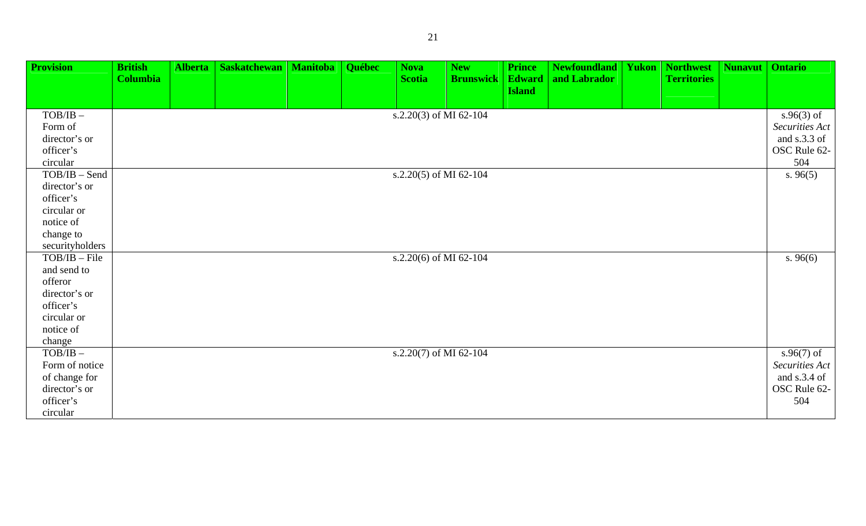| <b>Provision</b> | <b>British</b>  | <b>Alberta</b> | <b>Saskatchewan</b> | <b>Manitoba</b> | <b>Québec</b> | <b>Nova</b>            | <b>New</b>       | <b>Prince</b>                  | <b>Newfoundland</b> | Yukon | Northwest          | <b>Nunavut</b> | <b>Ontario</b> |
|------------------|-----------------|----------------|---------------------|-----------------|---------------|------------------------|------------------|--------------------------------|---------------------|-------|--------------------|----------------|----------------|
|                  | <b>Columbia</b> |                |                     |                 |               | <b>Scotia</b>          | <b>Brunswick</b> | <b>Edward</b><br><b>Island</b> | and Labrador        |       | <b>Territories</b> |                |                |
|                  |                 |                |                     |                 |               |                        |                  |                                |                     |       |                    |                |                |
| $TOB/IB$ -       |                 |                |                     |                 |               | s.2.20(3) of MI 62-104 |                  |                                |                     |       |                    |                | $s.96(3)$ of   |
| Form of          |                 |                |                     |                 |               |                        |                  |                                |                     |       |                    |                | Securities Act |
| director's or    |                 |                |                     |                 |               |                        |                  |                                |                     |       |                    |                | and s.3.3 of   |
| officer's        |                 |                |                     |                 |               |                        |                  |                                |                     |       |                    |                | OSC Rule 62-   |
| circular         |                 |                |                     |                 |               |                        |                  |                                |                     |       |                    |                | 504            |
| $TOB/IB - Send$  |                 |                |                     |                 |               | s.2.20(5) of MI 62-104 |                  |                                |                     |       |                    |                | s.96(5)        |
| director's or    |                 |                |                     |                 |               |                        |                  |                                |                     |       |                    |                |                |
| officer's        |                 |                |                     |                 |               |                        |                  |                                |                     |       |                    |                |                |
| circular or      |                 |                |                     |                 |               |                        |                  |                                |                     |       |                    |                |                |
| notice of        |                 |                |                     |                 |               |                        |                  |                                |                     |       |                    |                |                |
| change to        |                 |                |                     |                 |               |                        |                  |                                |                     |       |                    |                |                |
| securityholders  |                 |                |                     |                 |               |                        |                  |                                |                     |       |                    |                |                |
| $TOB/IB - File$  |                 |                |                     |                 |               | s.2.20(6) of MI 62-104 |                  |                                |                     |       |                    |                | s.96(6)        |
| and send to      |                 |                |                     |                 |               |                        |                  |                                |                     |       |                    |                |                |
| offeror          |                 |                |                     |                 |               |                        |                  |                                |                     |       |                    |                |                |
| director's or    |                 |                |                     |                 |               |                        |                  |                                |                     |       |                    |                |                |
| officer's        |                 |                |                     |                 |               |                        |                  |                                |                     |       |                    |                |                |
| circular or      |                 |                |                     |                 |               |                        |                  |                                |                     |       |                    |                |                |
| notice of        |                 |                |                     |                 |               |                        |                  |                                |                     |       |                    |                |                |
| change           |                 |                |                     |                 |               |                        |                  |                                |                     |       |                    |                |                |
| $TOB/IB$ -       |                 |                |                     |                 |               | s.2.20(7) of MI 62-104 |                  |                                |                     |       |                    |                | $s.96(7)$ of   |
| Form of notice   |                 |                |                     |                 |               |                        |                  |                                |                     |       |                    |                | Securities Act |
| of change for    |                 |                |                     |                 |               |                        |                  |                                |                     |       |                    |                | and s.3.4 of   |
| director's or    |                 |                |                     |                 |               |                        |                  |                                |                     |       |                    |                | OSC Rule 62-   |
| officer's        |                 |                |                     |                 |               |                        |                  |                                |                     |       |                    |                | 504            |
| circular         |                 |                |                     |                 |               |                        |                  |                                |                     |       |                    |                |                |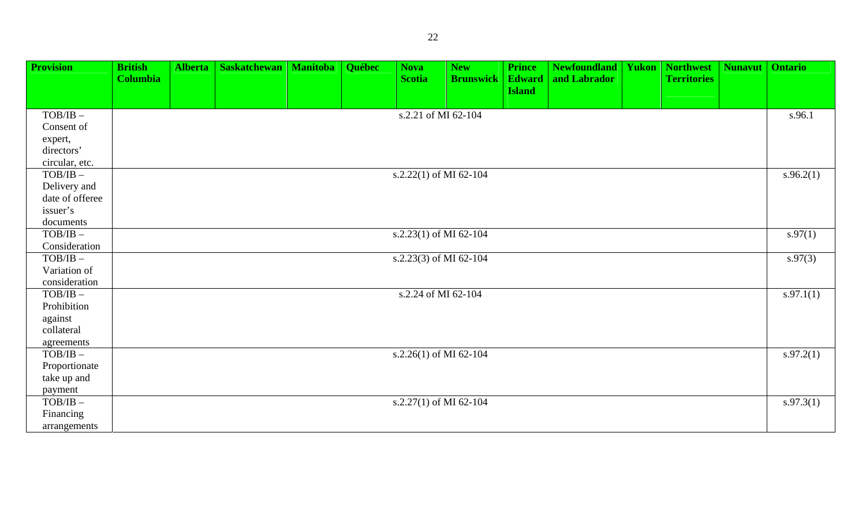| <b>Provision</b>                                       | <b>British</b><br><b>Columbia</b> | <b>Alberta</b> | <b>Saskatchewan</b>   Manitoba | <b>Québec</b> | <b>Nova</b><br><b>Scotia</b>         | <b>New</b><br><b>Brunswick</b> | <b>Prince</b><br><b>Edward</b><br><b>Island</b> | <b>Newfoundland   Yukon   Northwest</b><br>and Labrador | <b>Territories</b> | <b>Nunavut</b> | <b>Ontario</b> |
|--------------------------------------------------------|-----------------------------------|----------------|--------------------------------|---------------|--------------------------------------|--------------------------------|-------------------------------------------------|---------------------------------------------------------|--------------------|----------------|----------------|
|                                                        |                                   |                |                                |               |                                      |                                |                                                 |                                                         |                    |                |                |
| $TOB/IB$ -                                             |                                   |                |                                |               | s.2.21 of MI 62-104                  |                                |                                                 |                                                         |                    |                | s.96.1         |
| Consent of                                             |                                   |                |                                |               |                                      |                                |                                                 |                                                         |                    |                |                |
| expert,                                                |                                   |                |                                |               |                                      |                                |                                                 |                                                         |                    |                |                |
| directors'                                             |                                   |                |                                |               |                                      |                                |                                                 |                                                         |                    |                |                |
| circular, etc.                                         |                                   |                |                                |               |                                      |                                |                                                 |                                                         |                    |                |                |
| $\ensuremath{\mathsf{TOB}}/\ensuremath{\mathsf{IB}}$ – |                                   |                |                                |               | s.2.22(1) of MI 62-104               |                                |                                                 |                                                         |                    |                | s.96.2(1)      |
| Delivery and                                           |                                   |                |                                |               |                                      |                                |                                                 |                                                         |                    |                |                |
| date of offeree                                        |                                   |                |                                |               |                                      |                                |                                                 |                                                         |                    |                |                |
| issuer's<br>documents                                  |                                   |                |                                |               |                                      |                                |                                                 |                                                         |                    |                |                |
| $TOB/IB$ -                                             |                                   |                |                                |               | s.2.23(1) of MI 62- $\overline{104}$ |                                |                                                 |                                                         |                    |                | s.97(1)        |
| Consideration                                          |                                   |                |                                |               |                                      |                                |                                                 |                                                         |                    |                |                |
| $\ensuremath{\mathsf{TOB}}/\ensuremath{\mathsf{IB}}$ – |                                   |                |                                |               | s.2.23(3) of MI 62-104               |                                |                                                 |                                                         |                    |                | s.97(3)        |
| Variation of                                           |                                   |                |                                |               |                                      |                                |                                                 |                                                         |                    |                |                |
| consideration                                          |                                   |                |                                |               |                                      |                                |                                                 |                                                         |                    |                |                |
| $TOB/IB$ -                                             |                                   |                |                                |               | s.2.24 of MI 62-104                  |                                |                                                 |                                                         |                    |                | s.97.1(1)      |
| Prohibition                                            |                                   |                |                                |               |                                      |                                |                                                 |                                                         |                    |                |                |
| against                                                |                                   |                |                                |               |                                      |                                |                                                 |                                                         |                    |                |                |
| collateral                                             |                                   |                |                                |               |                                      |                                |                                                 |                                                         |                    |                |                |
| agreements                                             |                                   |                |                                |               |                                      |                                |                                                 |                                                         |                    |                |                |
| $TOB/IB$ -                                             |                                   |                |                                |               | s.2.26(1) of MI 62- $\overline{104}$ |                                |                                                 |                                                         |                    |                | s.97.2(1)      |
| Proportionate                                          |                                   |                |                                |               |                                      |                                |                                                 |                                                         |                    |                |                |
| take up and                                            |                                   |                |                                |               |                                      |                                |                                                 |                                                         |                    |                |                |
| payment                                                |                                   |                |                                |               |                                      |                                |                                                 |                                                         |                    |                |                |
| $TOB/IB$ -                                             |                                   |                |                                |               | s.2.27(1) of MI 62-104               |                                |                                                 |                                                         |                    |                | s.97.3(1)      |
| Financing                                              |                                   |                |                                |               |                                      |                                |                                                 |                                                         |                    |                |                |
| arrangements                                           |                                   |                |                                |               |                                      |                                |                                                 |                                                         |                    |                |                |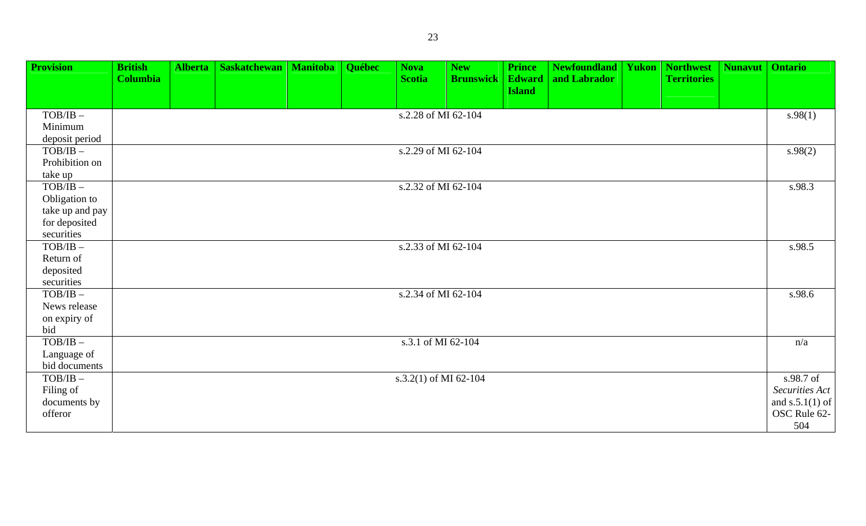| <b>Provision</b>         | <b>British</b><br><b>Columbia</b> | Alberta | <b>Saskatchewan</b> | <b>Manitoba</b> | Québec | <b>Nova</b><br><b>Scotia</b> | <b>New</b><br><b>Brunswick</b> | <b>Prince</b><br><b>Edward</b> | <b>Newfoundland   Yukon</b><br>and Labrador | <b>Northwest</b><br><b>Territories</b> | Nunavut | <b>Ontario</b>    |
|--------------------------|-----------------------------------|---------|---------------------|-----------------|--------|------------------------------|--------------------------------|--------------------------------|---------------------------------------------|----------------------------------------|---------|-------------------|
|                          |                                   |         |                     |                 |        |                              |                                | <b>Island</b>                  |                                             |                                        |         |                   |
| $TOB/IB$ -               |                                   |         |                     |                 |        | s.2.28 of MI 62-104          |                                |                                |                                             |                                        |         | s.98(1)           |
| Minimum                  |                                   |         |                     |                 |        |                              |                                |                                |                                             |                                        |         |                   |
| deposit period           |                                   |         |                     |                 |        |                              |                                |                                |                                             |                                        |         |                   |
| $TOB/IB$ -               |                                   |         |                     |                 |        | s.2.29 of MI 62-104          |                                |                                |                                             |                                        |         | s.98(2)           |
| Prohibition on           |                                   |         |                     |                 |        |                              |                                |                                |                                             |                                        |         |                   |
| take up                  |                                   |         |                     |                 |        |                              |                                |                                |                                             |                                        |         |                   |
| $TOB/IB$ -               |                                   |         |                     |                 |        | s.2.32 of MI 62-104          |                                |                                |                                             |                                        |         | s.98.3            |
| Obligation to            |                                   |         |                     |                 |        |                              |                                |                                |                                             |                                        |         |                   |
| take up and pay          |                                   |         |                     |                 |        |                              |                                |                                |                                             |                                        |         |                   |
| for deposited            |                                   |         |                     |                 |        |                              |                                |                                |                                             |                                        |         |                   |
| securities               |                                   |         |                     |                 |        |                              |                                |                                |                                             |                                        |         |                   |
| $TOB/IB$ -               |                                   |         |                     |                 |        | s.2.33 of MI 62-104          |                                |                                |                                             |                                        |         | s.98.5            |
| Return of                |                                   |         |                     |                 |        |                              |                                |                                |                                             |                                        |         |                   |
| deposited                |                                   |         |                     |                 |        |                              |                                |                                |                                             |                                        |         |                   |
| securities<br>$TOB/IB$ - |                                   |         |                     |                 |        | s.2.34 of MI 62-104          |                                |                                |                                             |                                        |         | s.98.6            |
| News release             |                                   |         |                     |                 |        |                              |                                |                                |                                             |                                        |         |                   |
| on expiry of             |                                   |         |                     |                 |        |                              |                                |                                |                                             |                                        |         |                   |
| bid                      |                                   |         |                     |                 |        |                              |                                |                                |                                             |                                        |         |                   |
| $TOB/IB$ -               |                                   |         |                     |                 |        | s.3.1 of MI 62-104           |                                |                                |                                             |                                        |         | n/a               |
| Language of              |                                   |         |                     |                 |        |                              |                                |                                |                                             |                                        |         |                   |
| bid documents            |                                   |         |                     |                 |        |                              |                                |                                |                                             |                                        |         |                   |
| $TOB/IB$ -               |                                   |         |                     |                 |        | s.3.2(1) of MI 62-104        |                                |                                |                                             |                                        |         | s.98.7 of         |
| Filing of                |                                   |         |                     |                 |        |                              |                                |                                |                                             |                                        |         | Securities Act    |
| documents by             |                                   |         |                     |                 |        |                              |                                |                                |                                             |                                        |         | and $s.5.1(1)$ of |

OSC Rule 62- 504

offeror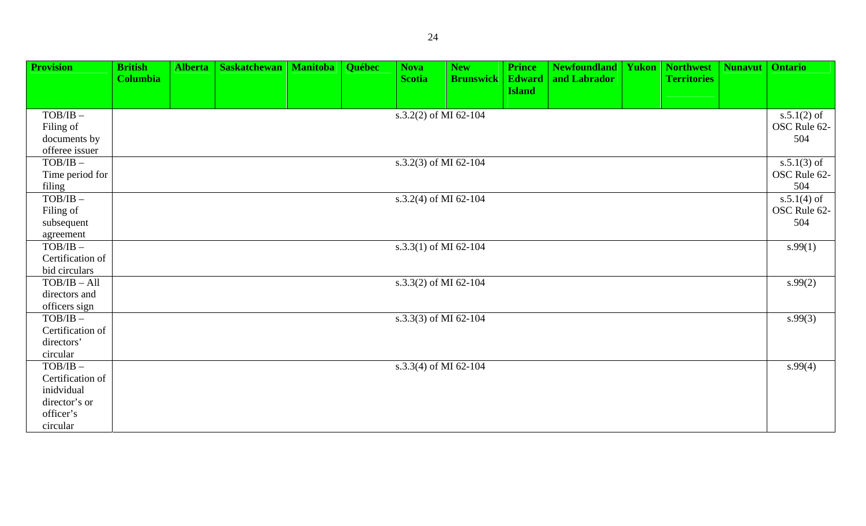|                                                                                        |                 | <b>Alberta</b> | <b>Saskatchewan</b> | <b>Manitoba</b> | Québec | <b>Nova</b>           | <b>New</b>       | <b>Prince</b> | <b>Newfoundland</b> | Yukon | <b>Northwest</b>   | <b>Nunavut</b> | <b>Ontario</b>                       |
|----------------------------------------------------------------------------------------|-----------------|----------------|---------------------|-----------------|--------|-----------------------|------------------|---------------|---------------------|-------|--------------------|----------------|--------------------------------------|
|                                                                                        | <b>Columbia</b> |                |                     |                 |        | <b>Scotia</b>         | <b>Brunswick</b> | <b>Edward</b> | and Labrador        |       | <b>Territories</b> |                |                                      |
|                                                                                        |                 |                |                     |                 |        |                       |                  | <b>Island</b> |                     |       |                    |                |                                      |
| $TOB/IB$ -<br>Filing of                                                                |                 |                |                     |                 |        | s.3.2(2) of MI 62-104 |                  |               |                     |       |                    |                | $s.5.1(2)$ of<br>OSC Rule 62-        |
| documents by<br>offeree issuer                                                         |                 |                |                     |                 |        |                       |                  |               |                     |       |                    |                | 504                                  |
| $TOB/IB$ -<br>Time period for<br>filing                                                |                 |                |                     |                 |        | s.3.2(3) of MI 62-104 |                  |               |                     |       |                    |                | $s.5.1(3)$ of<br>OSC Rule 62-<br>504 |
| $TOB/IB$ -<br>Filing of<br>subsequent                                                  |                 |                |                     |                 |        | s.3.2(4) of MI 62-104 |                  |               |                     |       |                    |                | $s.5.1(4)$ of<br>OSC Rule 62-<br>504 |
| agreement                                                                              |                 |                |                     |                 |        |                       |                  |               |                     |       |                    |                |                                      |
| $TOB/IB$ -<br>Certification of<br>bid circulars                                        |                 |                |                     |                 |        | s.3.3(1) of MI 62-104 |                  |               |                     |       |                    |                | s.99(1)                              |
| $TOB/IB - All$<br>directors and<br>officers sign                                       |                 |                |                     |                 |        | s.3.3(2) of MI 62-104 |                  |               |                     |       |                    |                | s.99(2)                              |
| $TOB/IB$ -<br>Certification of<br>directors'<br>circular                               |                 |                |                     |                 |        | s.3.3(3) of MI 62-104 |                  |               |                     |       |                    |                | s.99(3)                              |
| $TOB/IB$ -<br>Certification of<br>inidvidual<br>director's or<br>officer's<br>circular |                 |                |                     |                 |        | s.3.3(4) of MI 62-104 |                  |               |                     |       |                    |                | s.99(4)                              |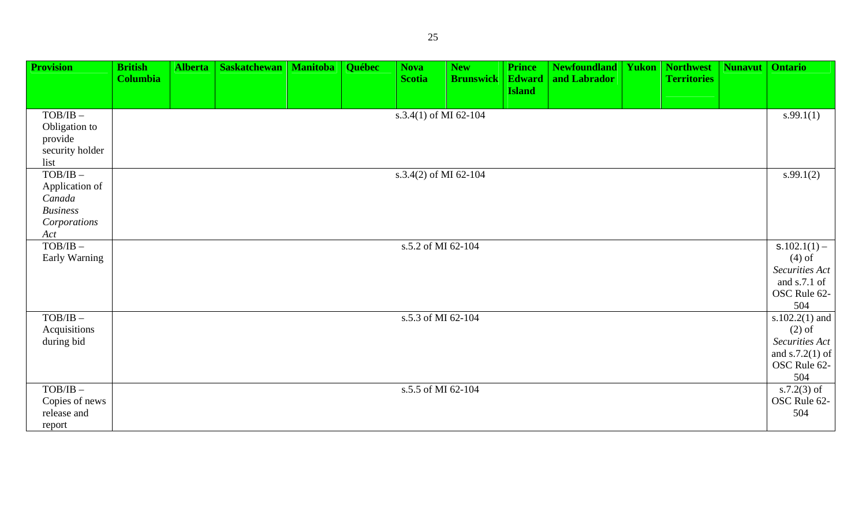| <b>Provision</b>                                                                       | <b>British</b><br><b>Columbia</b> | <b>Alberta</b> | <b>Saskatchewan</b> | <b>Manitoba</b> | <b>Québec</b> | <b>Nova</b><br><b>Scotia</b> | <b>New</b><br><b>Brunswick</b> | <b>Prince</b><br><b>Edward</b><br><b>Island</b> | <b>Newfoundland   Yukon</b><br>and Labrador | <b>Northwest</b><br><b>Territories</b> | <b>Nunavut</b> | <b>Ontario</b>                                                                              |
|----------------------------------------------------------------------------------------|-----------------------------------|----------------|---------------------|-----------------|---------------|------------------------------|--------------------------------|-------------------------------------------------|---------------------------------------------|----------------------------------------|----------------|---------------------------------------------------------------------------------------------|
| $TOB/IB$ -<br>Obligation to<br>provide<br>security holder<br>list                      |                                   |                |                     |                 |               | s.3.4(1) of MI 62-104        |                                |                                                 |                                             |                                        |                | s.99.1(1)                                                                                   |
| $TOB/IB$ -<br>Application of<br>Canada<br><b>Business</b><br>Corporations<br>Act       |                                   |                |                     |                 |               | s.3.4(2) of MI 62-104        |                                |                                                 |                                             |                                        |                | s.99.1(2)                                                                                   |
| $TOB/IB$ -<br>Early Warning                                                            |                                   |                |                     |                 |               | s.5.2 of MI 62-104           |                                |                                                 |                                             |                                        |                | $S.102.1(1) -$<br>$(4)$ of<br>Securities Act<br>and s.7.1 of<br>OSC Rule 62-<br>504         |
| $\ensuremath{\mathsf{TOB}}/\ensuremath{\mathsf{IB}}$ $-$<br>Acquisitions<br>during bid |                                   |                |                     |                 |               | s.5.3 of MI 62-104           |                                |                                                 |                                             |                                        |                | s.102.2 $(1)$ and<br>$(2)$ of<br>Securities Act<br>and $s.7.2(1)$ of<br>OSC Rule 62-<br>504 |
| $TOB/IB$ -<br>Copies of news<br>release and<br>report                                  |                                   |                |                     |                 |               | s.5.5 of MI 62-104           |                                |                                                 |                                             |                                        |                | s.7.2 $(3)$ of<br>OSC Rule 62-<br>504                                                       |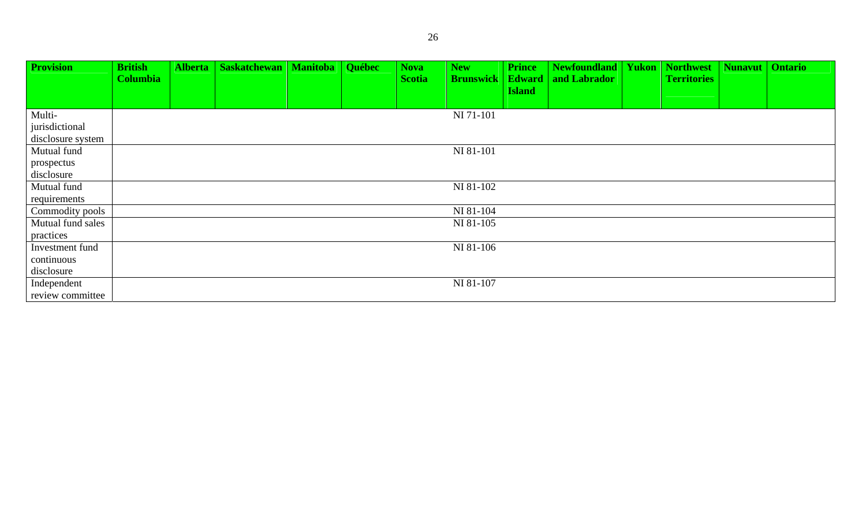| <b>Provision</b>  | <b>British</b>  | Alberta | <b>Saskatchewan</b> | <b>Manitoba</b> | Québec | <b>Nova</b>   | <b>New</b>       | <b>Prince</b>                  | <b>Newfoundland   Yukon</b> | <b>Northwest</b>   | <b>Nunavut</b> | <b>Ontario</b> |
|-------------------|-----------------|---------|---------------------|-----------------|--------|---------------|------------------|--------------------------------|-----------------------------|--------------------|----------------|----------------|
|                   | <b>Columbia</b> |         |                     |                 |        | <b>Scotia</b> | <b>Brunswick</b> | <b>Edward</b><br><b>Island</b> | and Labrador                | <b>Territories</b> |                |                |
|                   |                 |         |                     |                 |        |               |                  |                                |                             |                    |                |                |
| Multi-            |                 |         |                     |                 |        |               | NI 71-101        |                                |                             |                    |                |                |
| jurisdictional    |                 |         |                     |                 |        |               |                  |                                |                             |                    |                |                |
| disclosure system |                 |         |                     |                 |        |               |                  |                                |                             |                    |                |                |
| Mutual fund       |                 |         |                     |                 |        |               | NI 81-101        |                                |                             |                    |                |                |
| prospectus        |                 |         |                     |                 |        |               |                  |                                |                             |                    |                |                |
| disclosure        |                 |         |                     |                 |        |               |                  |                                |                             |                    |                |                |
| Mutual fund       |                 |         |                     |                 |        |               | NI 81-102        |                                |                             |                    |                |                |
| requirements      |                 |         |                     |                 |        |               |                  |                                |                             |                    |                |                |
| Commodity pools   |                 |         |                     |                 |        |               | NI 81-104        |                                |                             |                    |                |                |
| Mutual fund sales |                 |         |                     |                 |        |               | NI 81-105        |                                |                             |                    |                |                |
| practices         |                 |         |                     |                 |        |               |                  |                                |                             |                    |                |                |
| Investment fund   |                 |         |                     |                 |        |               | NI 81-106        |                                |                             |                    |                |                |
| continuous        |                 |         |                     |                 |        |               |                  |                                |                             |                    |                |                |
| disclosure        |                 |         |                     |                 |        |               |                  |                                |                             |                    |                |                |
| Independent       |                 |         |                     |                 |        |               | NI 81-107        |                                |                             |                    |                |                |
| review committee  |                 |         |                     |                 |        |               |                  |                                |                             |                    |                |                |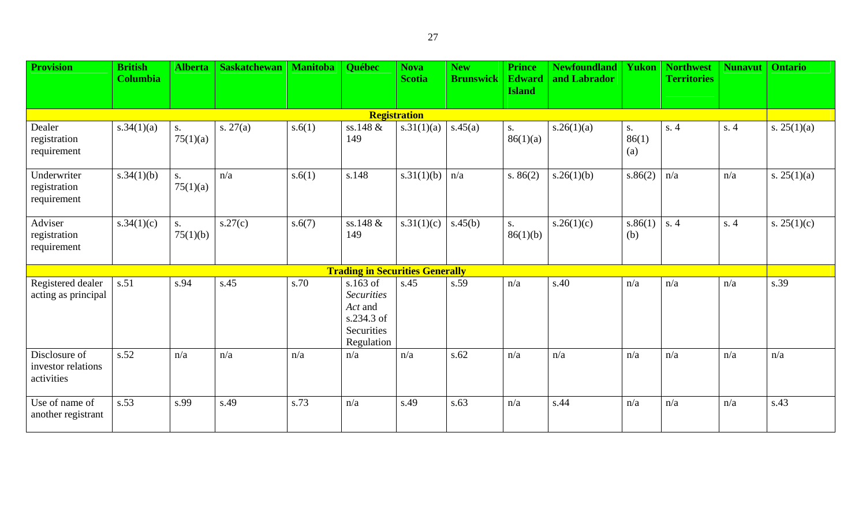| <b>Provision</b>                                  | <b>British</b><br><b>Columbia</b> | <b>Alberta</b> | <b>Saskatchewan</b> | <b>Manitoba</b> | Québec                                                                               | <b>Nova</b><br><b>Scotia</b> | <b>New</b><br><b>Brunswick</b> | <b>Prince</b><br><b>Edward</b><br><b>Island</b> | <b>Newfoundland</b><br>and Labrador | Yukon              | <b>Northwest</b><br><b>Territories</b> | <b>Nunavut</b> | <b>Ontario</b> |
|---------------------------------------------------|-----------------------------------|----------------|---------------------|-----------------|--------------------------------------------------------------------------------------|------------------------------|--------------------------------|-------------------------------------------------|-------------------------------------|--------------------|----------------------------------------|----------------|----------------|
|                                                   |                                   |                |                     |                 |                                                                                      |                              |                                |                                                 |                                     |                    |                                        |                |                |
|                                                   |                                   |                |                     |                 |                                                                                      | <b>Registration</b>          |                                |                                                 |                                     |                    |                                        |                |                |
| Dealer<br>registration<br>requirement             | s.34(1)(a)                        | S.<br>75(1)(a) | s. $27(a)$          | s.6(1)          | ss.148 &<br>149                                                                      | s.31(1)(a)                   | s.45(a)                        | S <sub>1</sub><br>86(1)(a)                      | s.26(1)(a)                          | S.<br>86(1)<br>(a) | s.4                                    | s.4            | s. $25(1)(a)$  |
| Underwriter<br>registration<br>requirement        | s.34(1)(b)                        | S.<br>75(1)(a) | n/a                 | s.6(1)          | s.148                                                                                | s.31(1)(b)                   | n/a                            | s. $86(2)$                                      | s.26(1)(b)                          | s.86(2)            | n/a                                    | n/a            | s. $25(1)(a)$  |
| Adviser<br>registration<br>requirement            | s.34(1)(c)                        | S.<br>75(1)(b) | s.27(c)             | s.6(7)          | ss.148 &<br>149                                                                      | s.31(1)(c)                   | s.45(b)                        | S.<br>86(1)(b)                                  | s.26(1)(c)                          | s.86(1)<br>(b)     | s.4                                    | s.4            | s. $25(1)(c)$  |
|                                                   |                                   |                |                     |                 | <b>Trading in Securities Generally</b>                                               |                              |                                |                                                 |                                     |                    |                                        |                |                |
| Registered dealer<br>acting as principal          | s.51                              | s.94           | s.45                | s.70            | $s.163$ of<br><b>Securities</b><br>Act and<br>s.234.3 of<br>Securities<br>Regulation | s.45                         | s.59                           | n/a                                             | s.40                                | n/a                | n/a                                    | n/a            | s.39           |
| Disclosure of<br>investor relations<br>activities | s.52                              | n/a            | n/a                 | n/a             | n/a                                                                                  | n/a                          | s.62                           | n/a                                             | n/a                                 | n/a                | n/a                                    | n/a            | n/a            |
| Use of name of<br>another registrant              | s.53                              | s.99           | s.49                | s.73            | n/a                                                                                  | s.49                         | s.63                           | n/a                                             | s.44                                | n/a                | n/a                                    | n/a            | s.43           |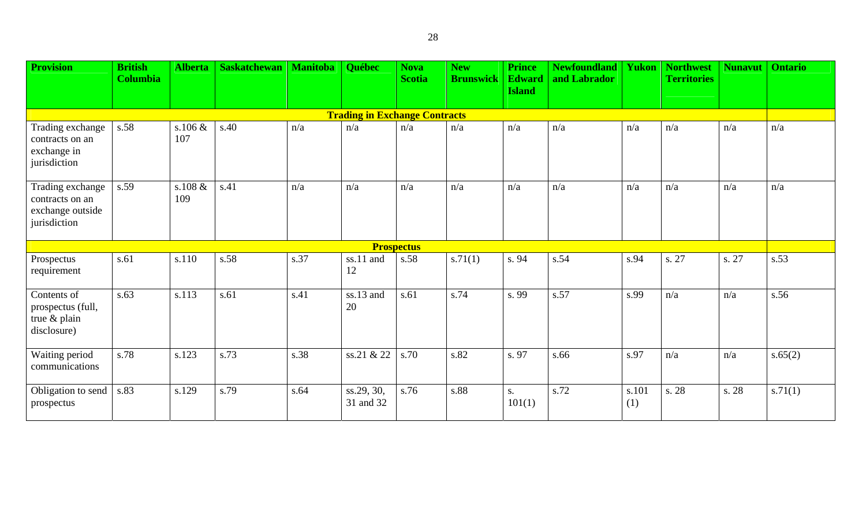| <b>Provision</b>                                                        | <b>British</b><br><b>Columbia</b> | <b>Alberta</b>    | <b>Saskatchewan</b> | <b>Manitoba</b> | Québec                               | <b>Nova</b><br><b>Scotia</b> | <b>New</b><br><b>Brunswick</b> | <b>Prince</b><br><b>Edward</b><br><b>Island</b> | <b>Newfoundland   Yukon</b><br>and Labrador |              | <b>Northwest</b><br><b>Territories</b> | <b>Nunavut</b> | <b>Ontario</b> |
|-------------------------------------------------------------------------|-----------------------------------|-------------------|---------------------|-----------------|--------------------------------------|------------------------------|--------------------------------|-------------------------------------------------|---------------------------------------------|--------------|----------------------------------------|----------------|----------------|
|                                                                         |                                   |                   |                     |                 |                                      |                              |                                |                                                 |                                             |              |                                        |                |                |
|                                                                         |                                   |                   |                     |                 | <b>Trading in Exchange Contracts</b> |                              |                                |                                                 |                                             |              |                                        |                |                |
| Trading exchange<br>contracts on an<br>exchange in<br>jurisdiction      | s.58                              | s.106 $\&$<br>107 | s.40                | n/a             | n/a                                  | n/a                          | n/a                            | n/a                                             | n/a                                         | n/a          | n/a                                    | n/a            | n/a            |
| Trading exchange<br>contracts on an<br>exchange outside<br>jurisdiction | s.59                              | s.108 $\&$<br>109 | s.41                | n/a             | n/a                                  | n/a                          | n/a                            | n/a                                             | n/a                                         | n/a          | n/a                                    | n/a            | n/a            |
|                                                                         |                                   |                   |                     |                 |                                      | <b>Prospectus</b>            |                                |                                                 |                                             |              |                                        |                |                |
| Prospectus<br>requirement                                               | s.61                              | s.110             | s.58                | s.37            | ss.11 and<br>12                      | s.58                         | s.71(1)                        | s. 94                                           | s.54                                        | s.94         | s. 27                                  | s. 27          | s.53           |
| Contents of<br>prospectus (full,<br>true & plain<br>disclosure)         | s.63                              | s.113             | s.61                | s.41            | ss.13 and<br>20                      | s.61                         | s.74                           | s. 99                                           | s.57                                        | s.99         | n/a                                    | n/a            | s.56           |
| Waiting period<br>communications                                        | s.78                              | s.123             | s.73                | s.38            | ss.21 & 22                           | s.70                         | s.82                           | s. 97                                           | s.66                                        | s.97         | n/a                                    | n/a            | s.65(2)        |
| Obligation to send<br>prospectus                                        | s.83                              | s.129             | s.79                | s.64            | ss.29, 30,<br>31 and 32              | s.76                         | s.88                           | S.<br>101(1)                                    | s.72                                        | s.101<br>(1) | s. 28                                  | s. 28          | s.71(1)        |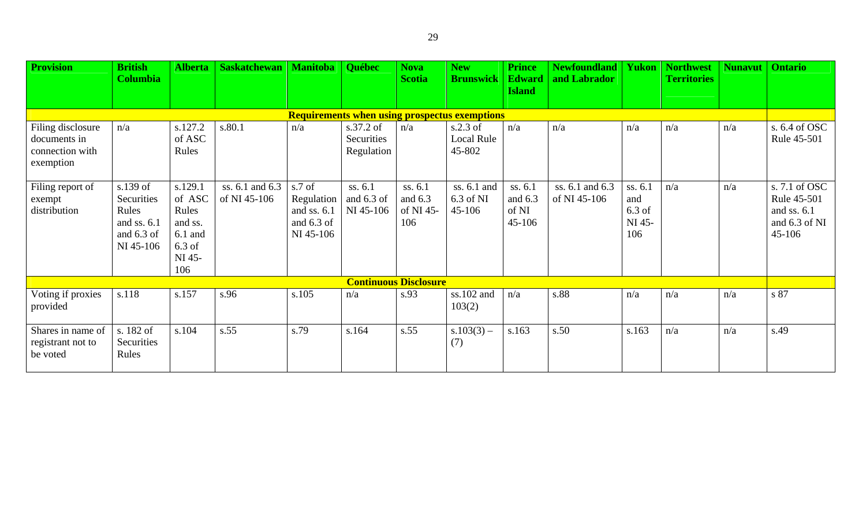| <b>Provision</b>                                                  | <b>British</b><br><b>Columbia</b>                                           | <b>Alberta</b>                                                                  | <b>Saskatchewan</b>             | <b>Manitoba</b>                                                    | <b>Québec</b>                         | <b>Nova</b><br><b>Scotia</b>             | <b>New</b><br><b>Brunswick</b>                       | <b>Prince</b><br><b>Edward</b><br><b>Island</b> | <b>Newfoundland</b><br>and Labrador | Yukon                                       | <b>Northwest</b><br><b>Territories</b> | <b>Nunavut</b> | <b>Ontario</b>                                                         |
|-------------------------------------------------------------------|-----------------------------------------------------------------------------|---------------------------------------------------------------------------------|---------------------------------|--------------------------------------------------------------------|---------------------------------------|------------------------------------------|------------------------------------------------------|-------------------------------------------------|-------------------------------------|---------------------------------------------|----------------------------------------|----------------|------------------------------------------------------------------------|
|                                                                   |                                                                             |                                                                                 |                                 |                                                                    |                                       |                                          | <b>Requirements when using prospectus exemptions</b> |                                                 |                                     |                                             |                                        |                |                                                                        |
| Filing disclosure<br>documents in<br>connection with<br>exemption | n/a                                                                         | s.127.2<br>of ASC<br>Rules                                                      | s.80.1                          | n/a                                                                | s.37.2 of<br>Securities<br>Regulation | n/a                                      | $s.2.3$ of<br>Local Rule<br>45-802                   | n/a                                             | n/a                                 | n/a                                         | n/a                                    | n/a            | s. 6.4 of OSC<br>Rule 45-501                                           |
| Filing report of<br>exempt<br>distribution                        | s.139 of<br>Securities<br>Rules<br>and ss. $6.1$<br>and 6.3 of<br>NI 45-106 | s.129.1<br>of ASC<br>Rules<br>and ss.<br>$6.1$ and<br>$6.3$ of<br>NI 45-<br>106 | ss. 6.1 and 6.3<br>of NI 45-106 | s.7 of<br>Regulation<br>and ss. $6.1$<br>and $6.3$ of<br>NI 45-106 | ss. 6.1<br>and 6.3 of<br>NI 45-106    | ss. 6.1<br>and $6.3$<br>of NI 45-<br>106 | ss. 6.1 and<br>6.3 of NI<br>45-106                   | ss. 6.1<br>and $6.3$<br>of NI<br>45-106         | ss. 6.1 and 6.3<br>of NI 45-106     | ss. 6.1<br>and<br>$6.3$ of<br>NI 45-<br>106 | n/a                                    | n/a            | s. 7.1 of OSC<br>Rule 45-501<br>and ss. 6.1<br>and 6.3 of NI<br>45-106 |
|                                                                   |                                                                             |                                                                                 |                                 |                                                                    |                                       | <b>Continuous Disclosure</b>             |                                                      |                                                 |                                     |                                             |                                        |                |                                                                        |
| Voting if proxies<br>provided                                     | s.118                                                                       | s.157                                                                           | s.96                            | s.105                                                              | n/a                                   | s.93                                     | ss.102 and<br>103(2)                                 | n/a                                             | s.88                                | n/a                                         | n/a                                    | n/a            | s 87                                                                   |
| Shares in name of<br>registrant not to<br>be voted                | s. 182 of<br>Securities<br>Rules                                            | s.104                                                                           | s.55                            | s.79                                                               | s.164                                 | s.55                                     | $s.103(3)$ –<br>(7)                                  | s.163                                           | s.50                                | s.163                                       | n/a                                    | n/a            | s.49                                                                   |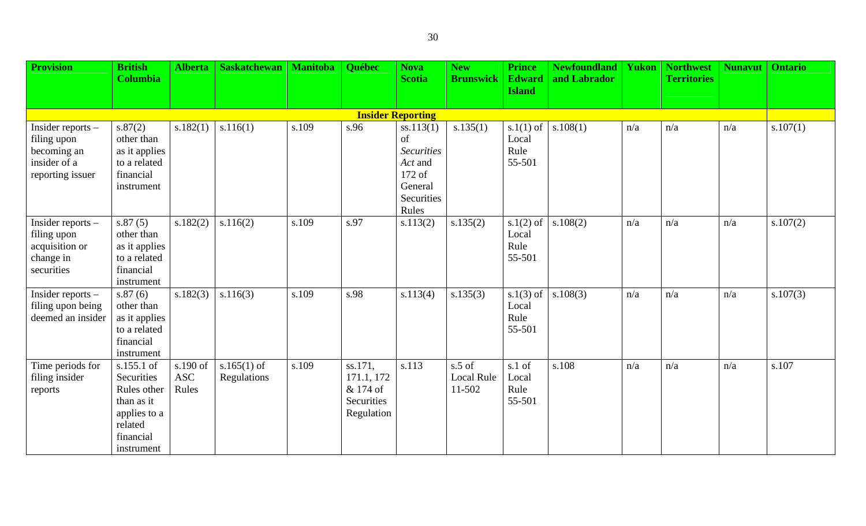| <b>Provision</b>                                                                      | <b>British</b>                                                                                              | <b>Alberta</b>                  | <b>Saskatchewan</b>          | <b>Manitoba</b> | Québec                                                        | <b>Nova</b>                                                                                 | <b>New</b>                       | <b>Prince</b>                          | <b>Newfoundland</b> | Yukon | <b>Northwest</b>   | <b>Nunavut</b> | <b>Ontario</b> |
|---------------------------------------------------------------------------------------|-------------------------------------------------------------------------------------------------------------|---------------------------------|------------------------------|-----------------|---------------------------------------------------------------|---------------------------------------------------------------------------------------------|----------------------------------|----------------------------------------|---------------------|-------|--------------------|----------------|----------------|
|                                                                                       | <b>Columbia</b>                                                                                             |                                 |                              |                 |                                                               | <b>Scotia</b>                                                                               | <b>Brunswick</b>                 | <b>Edward</b><br><b>Island</b>         | and Labrador        |       | <b>Territories</b> |                |                |
|                                                                                       |                                                                                                             |                                 |                              |                 |                                                               |                                                                                             |                                  |                                        |                     |       |                    |                |                |
|                                                                                       |                                                                                                             |                                 |                              |                 |                                                               | <b>Insider Reporting</b>                                                                    |                                  |                                        |                     |       |                    |                |                |
| Insider reports $-$<br>filing upon<br>becoming an<br>insider of a<br>reporting issuer | s.87(2)<br>other than<br>as it applies<br>to a related<br>financial<br>instrument                           | s.182(1)                        | s.116(1)                     | s.109           | s.96                                                          | ss.113(1)<br>of<br><b>Securities</b><br>Act and<br>172 of<br>General<br>Securities<br>Rules | s.135(1)                         | $s.1(1)$ of<br>Local<br>Rule<br>55-501 | s.108(1)            | n/a   | n/a                | n/a            | s.107(1)       |
| Insider reports $-$<br>filing upon<br>acquisition or<br>change in<br>securities       | s.87(5)<br>other than<br>as it applies<br>to a related<br>financial<br>instrument                           | s.182(2)                        | s.116(2)                     | s.109           | s.97                                                          | s.113(2)                                                                                    | s.135(2)                         | $s.1(2)$ of<br>Local<br>Rule<br>55-501 | s.108(2)            | n/a   | n/a                | n/a            | s.107(2)       |
| Insider reports $-$<br>filing upon being<br>deemed an insider                         | s.87(6)<br>other than<br>as it applies<br>to a related<br>financial<br>instrument                           | s.182(3)                        | s.116(3)                     | s.109           | s.98                                                          | s.113(4)                                                                                    | s.135(3)                         | $s.1(3)$ of<br>Local<br>Rule<br>55-501 | s.108(3)            | n/a   | n/a                | n/a            | s.107(3)       |
| Time periods for<br>filing insider<br>reports                                         | s.155.1 of<br>Securities<br>Rules other<br>than as it<br>applies to a<br>related<br>financial<br>instrument | s.190 of<br><b>ASC</b><br>Rules | $s.165(1)$ of<br>Regulations | s.109           | ss.171,<br>171.1, 172<br>& 174 of<br>Securities<br>Regulation | s.113                                                                                       | $s.5$ of<br>Local Rule<br>11-502 | s.1 of<br>Local<br>Rule<br>55-501      | s.108               | n/a   | n/a                | n/a            | s.107          |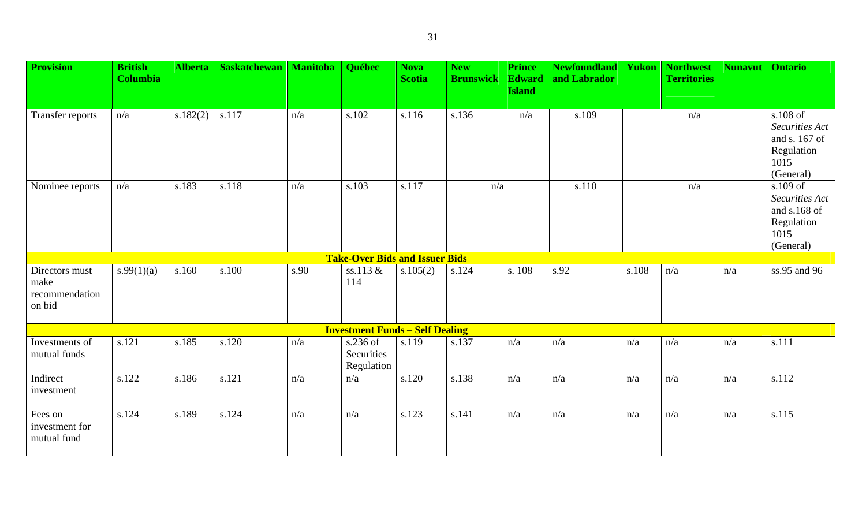31

| <b>Provision</b>                                   | <b>British</b><br><b>Columbia</b> | <b>Alberta</b> | <b>Saskatchewan</b> | <b>Manitoba</b> | Québec                                 | <b>Nova</b><br><b>Scotia</b> | <b>New</b><br><b>Brunswick</b> | <b>Prince</b><br><b>Edward</b><br><b>Island</b> | <b>Newfoundland</b><br>and Labrador | <b>Yukon</b> | <b>Northwest</b><br><b>Territories</b> | <b>Nunavut</b> | <b>Ontario</b>                                                                 |
|----------------------------------------------------|-----------------------------------|----------------|---------------------|-----------------|----------------------------------------|------------------------------|--------------------------------|-------------------------------------------------|-------------------------------------|--------------|----------------------------------------|----------------|--------------------------------------------------------------------------------|
| Transfer reports                                   | n/a                               | s.182(2)       | s.117               | n/a             | s.102                                  | s.116                        | s.136                          | n/a                                             | s.109                               |              | n/a                                    |                | s.108 of<br>Securities Act<br>and s. 167 of<br>Regulation<br>1015<br>(General) |
| Nominee reports                                    | n/a                               | s.183          | s.118               | n/a             | s.103                                  | s.117                        | n/a                            |                                                 | s.110                               |              | n/a                                    |                | s.109 of<br>Securities Act<br>and s.168 of<br>Regulation<br>1015<br>(General)  |
|                                                    |                                   |                |                     |                 | <b>Take-Over Bids and Issuer Bids</b>  |                              |                                |                                                 |                                     |              |                                        |                |                                                                                |
| Directors must<br>make<br>recommendation<br>on bid | s.99(1)(a)                        | s.160          | s.100               | s.90            | ss.113 &<br>114                        | s.105(2)                     | s.124                          | s. 108                                          | s.92                                | s.108        | n/a                                    | n/a            | ss.95 and 96                                                                   |
|                                                    |                                   |                |                     |                 | <b>Investment Funds - Self Dealing</b> |                              |                                |                                                 |                                     |              |                                        |                |                                                                                |
| Investments of<br>mutual funds                     | s.121                             | s.185          | s.120               | n/a             | s.236 of<br>Securities<br>Regulation   | s.119                        | s.137                          | n/a                                             | n/a                                 | n/a          | n/a                                    | n/a            | s.111                                                                          |
| Indirect<br>investment                             | s.122                             | s.186          | s.121               | n/a             | n/a                                    | s.120                        | s.138                          | n/a                                             | n/a                                 | n/a          | n/a                                    | n/a            | s.112                                                                          |
| Fees on<br>investment for<br>mutual fund           | s.124                             | s.189          | s.124               | n/a             | n/a                                    | s.123                        | s.141                          | n/a                                             | n/a                                 | n/a          | n/a                                    | n/a            | s.115                                                                          |